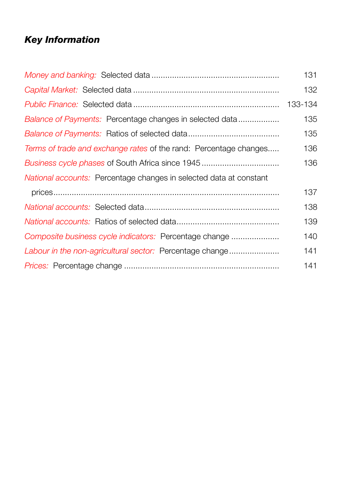# *Key Information*

| Balance of Payments: Percentage changes in selected data<br>Terms of trade and exchange rates of the rand: Percentage changes<br>Business cycle phases of South Africa since 1945<br>National accounts: Percentage changes in selected data at constant<br>Composite business cycle indicators: Percentage change<br>141<br>141 |                                                          | 131     |
|---------------------------------------------------------------------------------------------------------------------------------------------------------------------------------------------------------------------------------------------------------------------------------------------------------------------------------|----------------------------------------------------------|---------|
|                                                                                                                                                                                                                                                                                                                                 |                                                          | 132     |
|                                                                                                                                                                                                                                                                                                                                 |                                                          | 133-134 |
|                                                                                                                                                                                                                                                                                                                                 |                                                          | 135     |
|                                                                                                                                                                                                                                                                                                                                 |                                                          | 135     |
|                                                                                                                                                                                                                                                                                                                                 |                                                          | 136     |
|                                                                                                                                                                                                                                                                                                                                 |                                                          | 136     |
|                                                                                                                                                                                                                                                                                                                                 |                                                          |         |
|                                                                                                                                                                                                                                                                                                                                 |                                                          | 137     |
|                                                                                                                                                                                                                                                                                                                                 |                                                          | 138     |
|                                                                                                                                                                                                                                                                                                                                 |                                                          | 139     |
|                                                                                                                                                                                                                                                                                                                                 |                                                          | 140     |
|                                                                                                                                                                                                                                                                                                                                 | Labour in the non-agricultural sector: Percentage change |         |
|                                                                                                                                                                                                                                                                                                                                 |                                                          |         |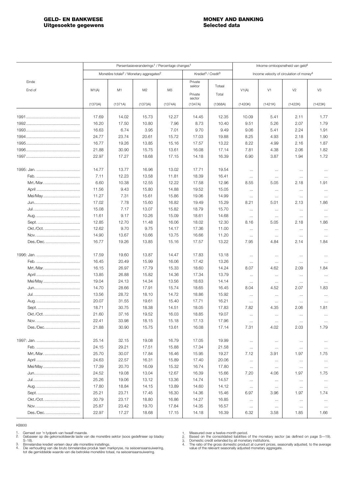<span id="page-1-0"></span>

|           | Persentasieveranderings <sup>1</sup> / Percentage changes <sup>1</sup> |                                                                 |                |                |                                            |                | Inkome-omloopsnelheid van geld4 |                  |                                                      |                  |  |
|-----------|------------------------------------------------------------------------|-----------------------------------------------------------------|----------------|----------------|--------------------------------------------|----------------|---------------------------------|------------------|------------------------------------------------------|------------------|--|
|           |                                                                        | Monetêre totale <sup>2</sup> / Monetary aggregates <sup>2</sup> |                |                | Krediet <sup>3</sup> / Credit <sup>3</sup> |                |                                 |                  | Income velocity of circulation of money <sup>4</sup> |                  |  |
| Einde     |                                                                        |                                                                 |                |                | Private<br>sektor                          | Totaal         |                                 |                  |                                                      |                  |  |
| End of    | M1(A)                                                                  | M <sub>1</sub>                                                  | M <sub>2</sub> | M <sub>3</sub> | Private                                    | Total          | V1(A)                           | V1               | V <sub>2</sub>                                       | V3               |  |
|           | (1370A)                                                                | (1371A)                                                         | (1373A)        | (1374A)        | sector<br>(1347A)                          | (1368A)        | (1420K)                         | (1421K)          | (1422K)                                              | (1423K)          |  |
|           | 17.69                                                                  | 14.02                                                           |                | 12.27          |                                            | 12.35          | 10.09                           |                  |                                                      | 1.77             |  |
|           | 16.20                                                                  | 17.50                                                           | 15.73<br>10.80 | 7.96           | 14.45<br>8.73                              | 10.40          | 9.51                            | 5.41<br>5.26     | 2.11<br>2.07                                         | 1.79             |  |
|           | 16.63                                                                  | 6.74                                                            | 3.95           | 7.01           | 9.70                                       | 9.49           | 9.06                            | 5.41             | 2.24                                                 | 1.91             |  |
|           | 24.77                                                                  | 23.74                                                           | 20.61          | 15.72          | 17.03                                      | 19.88          | 8.25                            | 4.93             | 2.18                                                 | 1.90             |  |
|           | 16.77                                                                  | 19.26                                                           | 13.85          | 15.16          | 17.57                                      | 13.22          | 8.22                            | 4.99             | 2.16                                                 | 1.87             |  |
|           | 21.88                                                                  | 30.90                                                           | 15.75          | 13.61          | 16.08                                      | 17.14          | 7.81                            | 4.38             | 2.06                                                 | 1.82             |  |
|           | 22.97                                                                  | 17.27                                                           | 18.68          | 17.15          | 14.18                                      | 16.39          | 6.90                            | 3.87             | 1.94                                                 | 1.72             |  |
|           |                                                                        |                                                                 |                |                |                                            |                |                                 |                  |                                                      |                  |  |
|           | 14.77                                                                  | 13.77                                                           | 16.96          | 13.02          | 17.71                                      | 19.54          | $\cdots$                        | $\cdots$         | $\ldots$                                             | $\cdots$         |  |
|           | 7.11                                                                   | 12.23                                                           | 13.58          | 11.81          | 18.39                                      | 16.41          | $\ldots$                        | $\cdots$         | $\cdots$                                             | $\ldots$         |  |
| Mrt./Mar  | 6.60                                                                   | 10.38                                                           | 12.55          | 12.22          | 17.58                                      | 12.96          | 8.55                            | 5.05             | 2.18                                                 | 1.91             |  |
|           | 11.56                                                                  | 9.43                                                            | 15.80          | 14.88          | 19.52                                      | 15.05          | $\ldots$                        | $\cdots$         | $\ldots$                                             | $\cdots$         |  |
| Mei/May   | 11.27                                                                  | 7.31                                                            | 15.61          | 15.86          | 19.06                                      | 14.99          | $\ldots$                        | $\ldots$         | $\ldots$                                             | $\ldots$         |  |
|           | 17.02                                                                  | 7.78                                                            | 15.60          | 16.82          | 19.49                                      | 15.29          | 8.21                            | 5.01             | 2.13                                                 | 1.86             |  |
|           | 15.08                                                                  | 7.17                                                            | 13.07          | 15.82          | 18.79                                      | 15.70          | $\ldots$                        | $\cdots$         | $\cdots$                                             | $\ldots$         |  |
|           | 11.61                                                                  | 9.17                                                            | 10.26          | 15.09          | 18.61                                      | 14.68          | $\cdots$                        | $\cdots$         | $\ldots$                                             | $\ldots$         |  |
|           | 12.85                                                                  | 12.70                                                           | 11.48          | 16.06          | 18.02                                      | 12.30          | 8.16                            | 5.05             | 2.18                                                 | 1.86             |  |
| Okt./Oct. | 12.62                                                                  | 9.70                                                            | 9.75           | 14.17          | 17.36                                      | 11.00          | $\cdots$                        | $\cdots$         | $\cdots$                                             | $\ldots$         |  |
|           | 14.90                                                                  | 13.67                                                           | 10.66          | 13.75          | 16.66                                      | 11.20          | $\cdots$                        | $\ldots$         | $\ldots$                                             | $\cdots$         |  |
| Des./Dec  | 16.77                                                                  | 19.26                                                           | 13.85          | 15.16          | 17.57                                      | 13.22          | 7.95                            | 4.84             | 2.14                                                 | 1.84             |  |
|           | 17.59                                                                  | 19.60                                                           | 13.87          | 14.47          | 17.83                                      | 13.18          | $\cdots$                        | $\cdots$         | $\ldots$                                             | $\cdots$         |  |
|           | 16.45                                                                  | 20.49                                                           | 15.99          | 16.06          | 17.42                                      | 13.26          | $\cdots$                        | $\cdots$         | $\cdots$                                             | $\ldots$         |  |
| Mrt./Mar  | 16.15                                                                  | 26.97                                                           | 17.79          | 15.33          | 18.60                                      | 14.24          | 8.07                            | 4.62             | 2.09                                                 | 1.84             |  |
|           | 13.85                                                                  | 26.88                                                           | 15.82          | 14.36          | 17.34                                      | 13.79          | $\ldots$                        | $\ldots$         | $\ldots$                                             | $\ldots$         |  |
|           | 19.04                                                                  | 24.13                                                           | 14.34          | 13.56          | 18.63                                      | 14.14          | $\ldots$                        | $\cdots$         | $\cdots$                                             | $\ldots$         |  |
|           | 14.70                                                                  | 28.66                                                           | 17.91          | 15.74          | 18.65                                      | 16.45          | 8.04                            | 4.52             | 2.07                                                 | 1.83             |  |
|           | 13.56                                                                  | 28.72                                                           | 18.10          | 14.72          | 18.86                                      | 15.92          | $\ldots$                        | $\cdots$         | $\ldots$                                             | $\ldots$         |  |
|           | 20.07                                                                  | 31.55                                                           | 19.61          | 15.40          | 17.71                                      | 16.21          | $\cdots$                        | $\cdots$         | $\cdots$                                             | $\cdots$         |  |
|           | 18.71                                                                  | 30.75                                                           | 18.38          | 14.51          | 18.05                                      | 17.83          | 7.82                            | 4.35             | 2.06                                                 | 1.81             |  |
| Okt./Oct. | 21.60                                                                  | 37.16                                                           | 19.52          | 16.03          | 18.85                                      | 19.07          | $\cdots$                        | $\cdots$         | $\cdots$                                             | $\ldots$         |  |
|           | 22.41                                                                  | 33.98                                                           | 18.15          | 15.18          | 17.13                                      | 17.96          | $\cdots$                        | $\cdots$         | $\cdots$                                             | $\cdots$         |  |
| Des./Dec  | 21.88                                                                  | 30.90                                                           | 15.75          | 13.61          | 16.08                                      | 17.14          | 7.31                            | 4.02             | 2.03                                                 | 1.79             |  |
|           | 25.14                                                                  | 32.15                                                           | 19.08          | 16.79          | 17.05                                      | 19.99          |                                 |                  |                                                      |                  |  |
|           | 24.15                                                                  | 29.21                                                           | 17.51          | 15.88          | 17.34                                      | 21.58          | $\ldots$                        | $\ldots$         | $\cdots$                                             | $\dots$          |  |
| Mrt./Mar  | 25.70                                                                  | 30.07                                                           | 17.84          | 16.46          | 15.95                                      | 19.27          | $\ldots$<br>7.12                | $\cdots$<br>3.91 | $\ldots$<br>1.97                                     | $\sim$<br>1.75   |  |
|           | 24.63                                                                  | 22.57                                                           |                | 15.89          |                                            | 20.06          |                                 |                  |                                                      |                  |  |
|           |                                                                        |                                                                 | 16.31          |                | 17.40                                      |                | $\ldots$                        | $\ldots$         | $\ldots$                                             | $\ldots$         |  |
| Mei/May   | 17.39                                                                  | 20.70                                                           | 16.09          | 15.32          | 16.74                                      | 17.80          | $\cdots$                        | $\ldots$         | $\ldots$                                             | $\cdots$         |  |
|           | 24.52<br>25.26                                                         | 19.08                                                           | 13.04          | 12.67          | 16.39                                      | 15.66          | 7.20                            | 4.06             | 1.97                                                 | 1.75             |  |
|           | 17.80                                                                  | 19.06                                                           | 13.12          | 13.36          | 14.74                                      | 14.57          | $\cdots$                        | $\ldots$         | $\cdots$                                             | $\cdots$         |  |
|           | 25.21                                                                  | 18.84<br>23.71                                                  | 14.15<br>17.45 | 13.89<br>16.30 | 14.60<br>14.36                             | 14.12<br>15.46 | $\cdots$<br>6.97                | $\cdots$<br>3.96 | $\ldots$<br>1.97                                     | $\ldots$<br>1.74 |  |
| Okt./Oct  | 30.79                                                                  | 23.17                                                           | 18.80          | 16.86          | 14.27                                      | 16.85          |                                 |                  |                                                      |                  |  |
|           | 25.87                                                                  | 23.42                                                           | 19.70          | 17.84          | 14.35                                      | 16.57          | $\cdots$                        | $\ldots$         | $\ldots$                                             | $\ldots$         |  |
| Des./Dec  | 22.97                                                                  | 17.27                                                           | 18.68          | 17.15          | 14.18                                      | 16.39          | $\ldots$<br>6.32                | $\ldots$<br>3.58 | $\ldots$<br>1.85                                     | $\ldots$<br>1.66 |  |
|           |                                                                        |                                                                 |                |                |                                            |                |                                 |                  |                                                      |                  |  |

Gemeet oor 'n tydperk van twaalf maande. Gebaseer op die gekonsolideerde laste van die monetêre sektor (soos gedefinieer op bladsy S–18). 1. 2.

3. 4.

Binnelandse krediet verleen deur alle monetêre instellings.<br>Die verhouding van die bruto binnelandse produk teen markpryse, na seisoensaansuiwering,<br>tot die gemiddelde waarde van die betrokke monetêre totaal, na seisoensaa

1. 2. 3. 4.

Measured over a twelve-month period.<br>Based on the consolidated liabilities of the monetary sector (as defined on page S—19).<br>Domestic credit extended by all monetary institutions.<br>The ratio of the gross domestic product at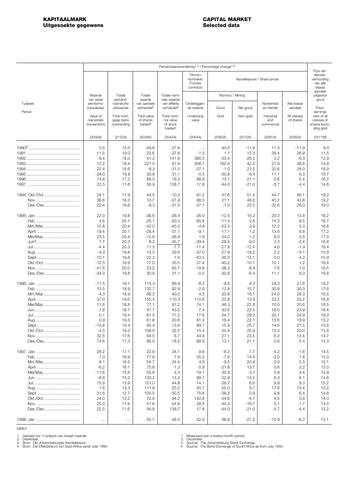<span id="page-2-0"></span>

|                   |                                         |                                          |                                                 |                                                             | Persentasieverandering <sup>1,2</sup> / Percentage change <sup>1,2</sup> |                           |                             |                                 |                          |                                                                      |
|-------------------|-----------------------------------------|------------------------------------------|-------------------------------------------------|-------------------------------------------------------------|--------------------------------------------------------------------------|---------------------------|-----------------------------|---------------------------------|--------------------------|----------------------------------------------------------------------|
|                   |                                         |                                          |                                                 |                                                             | Termyn-<br>kontrakte<br>Futures<br>contracts                             |                           | Aandelepryse / Share prices |                                 |                          | Prys-ver-<br>dienste-<br>verhouding<br>van alle<br>klasse<br>aandele |
|                   | Waarde<br>van vaste                     | Totale<br>verband-                       | Totale<br>waarde                                | Totale nomi-<br>nale waarde                                 |                                                                          | Mynbou / Mining           |                             |                                 |                          | uitgesluit<br>goud                                                   |
| Tydperk<br>Period | eiendoms-<br>transaksies                | voorskotte<br>uitstaande                 | van aandele<br>verhande <sup>[3</sup>           | van effekte<br>verhandel <sup>4</sup>                       | Onderliggen-<br>de waarde                                                | Goud                      | Nie-goud                    | Nywerheid<br>en handel          | Alle klasse<br>aandele   | Price-<br>earnings                                                   |
|                   | Value of<br>real estate<br>transactions | Total mort-<br>gage loans<br>outstanding | Total value<br>of shares<br>traded <sup>3</sup> | Total nomi-<br>nal value<br>of stock<br>traded <sup>4</sup> | Underlying<br>value                                                      | Gold                      | Non-gold                    | Industrial<br>and<br>commercial | All classes<br>of shares | ratio of all<br>classes of<br>shares exclu-<br>ding gold             |
|                   | (2056A)                                 | (2132A)                                  | (2039A)                                         | (2042A)                                                     | (2054A)                                                                  | (2080A)                   | (2510A)                     | (2091A)                         | (2092A)                  | (2511M)                                                              |
|                   | 0.5<br>11.5<br>$-9.4$                   | 15.0<br>19.0<br>18.0                     | -49.8<br>23.6<br>41.2                           | -27.6<br>$-37.8$<br>141.8                                   | $\cdots$<br>$-1.5$<br>386.5                                              | $-45.6$<br>1.1<br>$-33.4$ | $-11.9$<br>15.3<br>$-26.2$  | 11.3<br>39.4<br>3.2             | -11.9<br>26.9<br>$-6.3$  | 9.0<br>11.5<br>12.9                                                  |
|                   | 12.2<br>22.4                            | 18.4<br>18.6                             | 221.5<br>$-8.3$                                 | 81.8<br>$-31.5$                                             | 356.7<br>$-37.1$                                                         | 162.6<br>$-1.0$           | 42.2<br>23.5                | 21.9<br>32.6                    | 38.6<br>28.0             | 14.8<br>18.9                                                         |
|                   | $-34.0$                                 | 19.8                                     | 30.9                                            | 31.1                                                        | $-0.5$                                                                   | $-30.8$                   | $-6.4$                      | 11.1                            | 6.3                      | 16.7                                                                 |
|                   | 74.6                                    | 17.3                                     | 66.0                                            | 18.2                                                        | 88.9                                                                     | 13.1                      | 21.1                        | 0.6                             | 5.4                      | 16.2                                                                 |
|                   | 22.5                                    | 11.6                                     | 56.9                                            | 138.7                                                       | 17.8                                                                     | $-44.0$                   | $-21.0$                     | $-5.7$                          | $-4.4$                   | 14.6                                                                 |
| 1994: Okt./Oct    | 24.1                                    | 17.9                                     | 44.5                                            | $-10.5$                                                     | 91.2                                                                     | 47.6                      | 51.4                        | 44.7                            | 46.1                     | 19.0                                                                 |
|                   | 36.6                                    | 18.3                                     | 10.7                                            | $-37.9$                                                     | 88.5                                                                     | 21.1                      | 46.6                        | 45.2                            | 42.8                     | 19.2                                                                 |
| Des./Dec          | 22.4                                    | 18.6                                     | -8.3                                            | -31.5                                                       | -37.1                                                                    | $-1.0$                    | 23.5                        | 32.6                            | 28.0                     | 19.0                                                                 |
|                   | 22.0                                    | 19.8                                     | -36.6                                           | $-36.4$                                                     | 26.0                                                                     | $-12.5$                   | 10.2                        | 20.3                            | 13.8                     | 18.2                                                                 |
|                   | 4.6                                     | 20.1                                     | $-25.1$                                         | $-50.0$                                                     | 85.8                                                                     | $-11.4$                   | 2.6                         | 14.3                            | 9.5                      | 16.7                                                                 |
| Mrt./Mar          | 10.8                                    | 20.4                                     | $-42.0$                                         | $-45.0$                                                     | $-4.8$                                                                   | $-23.3$                   | $-3.9$                      | 12.3                            | 5.0                      | 16.8                                                                 |
|                   | 19.4                                    | 20.1                                     | $-28.4$                                         | $-37.7$                                                     | $-9.1$                                                                   | $-17.1$                   | 1.2                         | 13.6                            | 8.8                      | 17.2                                                                 |
| Mei/May           | 23.5                                    | 20.4                                     | $-12.8$                                         | $-38.4$                                                     | 1.9                                                                      | $-24.0$                   | 1.2                         | 8.0                             | 3.6                      | 17.3                                                                 |
|                   | 1.7                                     | 20.3                                     | $-8.2$                                          | $-45.7$                                                     | $-39.4$                                                                  | $-28.9$                   | $-9.0$                      | 2.3                             | $-2.4$                   | 16.8                                                                 |
|                   | $-4.4$                                  | 20.3                                     | 11.3                                            | $-7.7$                                                      | $-11.4$                                                                  | $-27.8$                   | $-12.4$                     | 4.0                             | $-1.9$                   | 16.4                                                                 |
|                   | $-4.3$                                  | 19.8                                     | $-13.5$                                         | 29.6                                                        | $-37.0$                                                                  | $-27.9$                   | $-18.2$                     | 2.2                             | -5.1                     | 15.9                                                                 |
|                   | $-15.1$                                 | 19.6                                     | $-22.2$                                         | 1.0                                                         | $-43.5$                                                                  | $-35.5$                   | $-15.1$                     | 5.0                             | $-4.2$                   | 15.9                                                                 |
| Okt./Oct.         | $-12.5$                                 | 18.9                                     | 17.0                                            | 35.5                                                        | 37.4                                                                     | $-40.2$                   | $-10.1$                     | 10.1                            | 1.2                      | 16.4                                                                 |
| Des./Dec          | $-41.6$<br>$-34.0$                      | 20.0<br>19.8                             | 23.2<br>30.9                                    | 93.7<br>31.1                                                | $-19.8$<br>$-0.5$                                                        | $-38.3$<br>$-30.8$        | $-8.9$<br>$-6.4$            | 7.6<br>11.1                     | 1.0<br>6.3               | 16.5<br>16.6                                                         |
|                   |                                         | 19.1                                     | 115.3                                           | 86.9                                                        | $-6.2$                                                                   | $-8.6$                    | 6.3                         | 24.3                            |                          | 18.2                                                                 |
|                   | -11.5<br>15.5                           | 18.9                                     | 132.7                                           | 92.9                                                        | $-2.6$                                                                   | 12.8                      | 15.7                        | 30.9                            | 21.6<br>30.3             | 17.6                                                                 |
| Mrt./Mar          | $-4.3$                                  | 18.9                                     | 68.3                                            | 40.0                                                        | 4.3                                                                      | 20.8                      | 16.1                        | 24.0                            | 26.3                     | 16.5                                                                 |
|                   | 37.0                                    | 19.0                                     | 155.4                                           | 110.3                                                       | 110.6                                                                    | 22.8                      | 13.9                        | 23.2                            | 25.2                     | 16.9                                                                 |
| Mei/May           | 11.6                                    | 18.8                                     | 77.1                                            | 91.2                                                        | 74.1                                                                     | 46.3                      | 22.8                        | 10.0                            | 20.6                     | 16.5                                                                 |
|                   | 7.8                                     | 18.7                                     | 47.7                                            | 43.5                                                        | 7.4                                                                      | 30.6                      | 22.5                        | 18.0                            | 23.9                     | 16.4                                                                 |
|                   | 0.1                                     | 19.4                                     | 81.5                                            | 77.2                                                        | 77.6                                                                     | 24.7                      | 29.0                        | 20.1                            | 24.9                     | 16.3                                                                 |
|                   | 0.9                                     | 19.5                                     | 61.8                                            | 20.8                                                        | 81.3                                                                     | 16.4                      | 22.1                        | 13.6                            | 18.9                     | 15.2                                                                 |
|                   | $-15.6$                                 | 19.4                                     | 85.4                                            | 13.6                                                        | 89.7                                                                     | 15.8                      | 25.7                        | 14.5                            | 21.5                     | 15.6                                                                 |
| Okt./Oct.         | 4.5                                     | 19.3                                     | 108.0                                           | 32.5                                                        | 15.3                                                                     | 25.4                      | 25.9                        | 12.4                            | 20.3                     | 15.8                                                                 |
|                   | 32.5                                    | 17.6                                     | 64.5                                            | 6.7                                                         | 44.8                                                                     | 27.1                      | 23.5                        | 6.2                             | 12.4                     | 14.7                                                                 |
| Des./Dec          | 74.6                                    | 17.3                                     | 66.0                                            | 18.2                                                        | 88.9                                                                     | 13.1                      | 21.1                        | 0.6                             | 5.4                      | 14.3                                                                 |
|                   | 28.2                                    | 17.1                                     | 22.9                                            | 34.1                                                        | 9.8                                                                      | $-6.2$                    | 7.7                         | $-4.2$                          | $-1.6$                   | 14.5                                                                 |
|                   | $-1.0$                                  | 16.9                                     | 77.9                                            | 7.9                                                         | 35.2                                                                     | $-7.6$                    | 14.4                        | $-2.0$                          | 1.8                      | 15.0                                                                 |
| Mrt./Mar.         | $-8.1$                                  | 16.5                                     | 54.7                                            | 24.4                                                        | 4.9                                                                      | $-9.5$                    | 20.9                        | 0.0                             | 5.5                      | 15.1                                                                 |
|                   | $-6.2$                                  | 16.1                                     | 75.6                                            | $-1.3$                                                      | $-5.8$                                                                   | $-21.8$                   | 13.7                        | 0.6                             | 2.2                      | 15.0                                                                 |
| Mei/May           | -11.6                                   | 15.6                                     | 55.8                                            | $-4.5$                                                      | $-19.1$                                                                  | $-30.5$                   | 3.1                         | 5.9                             | 4.6                      | 14.9                                                                 |
|                   | $-6.6$                                  | 15.2                                     | 133.2                                           | 13.3                                                        | 89.7                                                                     | $-32.9$                   | 10.2                        | 6.3                             | 6.1                      | 14.6                                                                 |
|                   | 15.9                                    | 13.9                                     | 121.0                                           | 44.8                                                        | 14.1                                                                     | $-38.7$                   | 6.6                         | 9.9                             | 8.3                      | 15.2                                                                 |
|                   | 1.6                                     | 13.3                                     | 111.8                                           | 25.0                                                        | 20.7                                                                     | $-35.0$                   | 9.7                         | 17.8                            | 13.4                     | 15.2                                                                 |
|                   | 31.6                                    | 12.7                                     | 100.5                                           | 50.5                                                        | 75.8                                                                     | $-38.2$                   | 0.9                         | 9.8                             | 6.4                      | 14.8                                                                 |
| Okt./Oct.         | 24.0                                    | 12.2                                     | 72.9                                            | 94.2                                                        | 142.8                                                                    | $-34.8$                   | $-4.7$                      | 4.5                             | 0.8                      | 14.0                                                                 |
|                   | 25.0                                    | 11.9                                     | 51.8                                            | 54.9                                                        | 28.5                                                                     | $-44.2$                   | $-16.7$                     | 0.1                             | $-1.7$                   | 14.0                                                                 |
| Des./Dec          | 22.5                                    | 11.6                                     | 56.9                                            | 138.7                                                       | 17.8                                                                     | $-44.0$                   | $-21.0$                     | $-5.7$                          | $-4.4$                   | 13.2                                                                 |
|                   | $\ldots$                                | $\ldots$                                 | 55.7                                            | 48.5                                                        | 42.9                                                                     | $-36.9$                   | $-27.2$                     | $-10.9$                         | $-6.2$                   | 13.1                                                                 |

1. Gemeet oor 'n tydperk van twaalf maande. 2. Desember. 3. Bron: Die Johannesburgse Aandelebeurs. 4. Bron: Die Effektebeurs van Suid-Afrika vanaf Julie 1995.

1. Measured over a twelve-month period. 2. December. 3. Source: The Johannesburg Stock Exchange. 4. Source: The Bond Exchange of South Africa as from July 1995.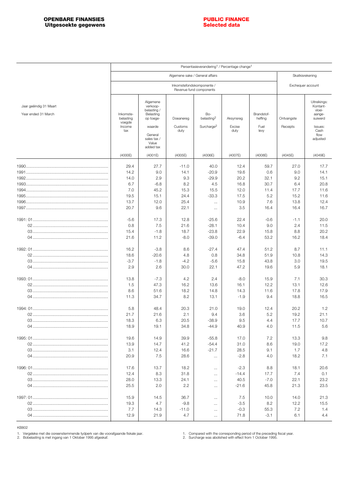<span id="page-3-0"></span>

|                                               |                                  |                                                               |                                 |                               | Persentasieverandering <sup>1</sup> / Percentage change <sup>1</sup> |                       |             |                                                         |
|-----------------------------------------------|----------------------------------|---------------------------------------------------------------|---------------------------------|-------------------------------|----------------------------------------------------------------------|-----------------------|-------------|---------------------------------------------------------|
|                                               |                                  |                                                               | Algemene sake / General affairs |                               |                                                                      |                       |             | Skatkisrekening                                         |
|                                               |                                  |                                                               |                                 | Exchequer account             |                                                                      |                       |             |                                                         |
| Jaar geëindig 31 Maart<br>Year ended 31 March | Inkomste-<br>belasting<br>voegde | Algemene<br>verkoop-<br>belasting /<br>Belasting<br>op toege- | Doeanereg                       | Bo-<br>belasting <sup>2</sup> | Aksynsreg                                                            | Brandstof-<br>heffing | Ontvangste  | Uitreikings:<br>Kontant-<br>vloei-<br>aange-<br>suiwerd |
|                                               | Income<br>tax                    | waarde<br>General<br>sales tax /<br>Value<br>added tax        | Customs<br>duty                 | Surcharge <sup>2</sup>        | Excise<br>duty                                                       | Fuel<br>levy          | Receipts    | Issues:<br>Cash<br>flow<br>adjusted                     |
|                                               | (4000E)                          | (4001E)                                                       | (4005E)                         | (4006E)                       | (4007E)                                                              | (4008E)               | (4045E)     | (4049E)                                                 |
|                                               | 29.4<br>14.2                     | 27.7<br>9.0                                                   | $-11.0$<br>14.1                 | 40.0<br>$-20.9$               | 12.4<br>19.6                                                         | 59.7<br>0.6           | 27.0<br>9.0 | 17.7<br>14.1                                            |
|                                               | 14.0                             | 2.9                                                           | 9.3                             | $-29.9$                       | 20.2                                                                 | 32.1                  | 9.2         | 15.1                                                    |
|                                               | 6.7                              | $-6.8$                                                        | 8.2                             | 4.5                           | 16.8                                                                 | 30.7                  | 6.4         | 20.8                                                    |
|                                               | 7.0                              | 45.2                                                          | 15.3                            | 15.5                          | 12.0                                                                 | 11.4                  | 17.7        | 11.6                                                    |
|                                               | 19.5                             | 15.1                                                          | 24.4                            | $-33.3$                       | 17.5                                                                 | 5.2                   | 15.2        | 11.6                                                    |
|                                               | 13.7                             | 12.0                                                          | 25.4                            | $\cdots$                      | 10.9                                                                 | 7.6                   | 13.8        | 12.4                                                    |
|                                               | 20.7                             | 9.6                                                           | 22.1                            | $\cdots$                      | 3.5                                                                  | 16.4                  | 16.4        | 16.7                                                    |
|                                               | $-5.6$                           | 17.3                                                          | 12.8                            | $-25.6$                       | 22.4                                                                 | $-0.6$                | -1.1        | 20.0                                                    |
|                                               | 0.8                              | 7.5                                                           | 21.6                            | $-28.1$                       | 10.4                                                                 | 9.0                   | 2.4         | 11.5                                                    |
|                                               | 15.4                             | $-1.8$                                                        | 18.7                            | $-23.8$                       | 22.9                                                                 | 15.8                  | 8.8         | 20.2                                                    |
|                                               | 21.6                             | 11.2                                                          | $-8.0$                          | $-39.0$                       | $-6.4$                                                               | 53.2                  | 16.2        | 18.4                                                    |
|                                               | 16.2                             | $-3.8$                                                        | 8.6                             | $-27.4$                       | 47.4                                                                 | 51.2                  | 8.7         | 11.1                                                    |
|                                               | 18.6                             | $-20.6$                                                       | 4.8                             | 0.8                           | 34.8                                                                 | 51.9                  | 10.8        | 14.3                                                    |
|                                               | $-3.7$                           | $-1.8$                                                        | $-4.2$                          | $-5.6$                        | 15.8                                                                 | 43.8                  | 3.0         | 19.5                                                    |
|                                               | 2.9                              | 2.6                                                           | 30.0                            | 22.1                          | 47.2                                                                 | 19.6                  | 5.9         | 18.1                                                    |
|                                               | 13.8                             | $-7.3$                                                        | 4.2                             | 2.4                           | $-8.0$                                                               | 15.9                  | 7.1         | 30.3                                                    |
|                                               | 1.5                              | 47.3                                                          | 16.2                            | 13.6                          | 16.1                                                                 | 12.2                  | 13.1        | 12.6                                                    |
|                                               | 8.6                              | 51.6                                                          | 18.2                            | 14.8                          | 14.3                                                                 | 11.6                  | 17.8        | 17.9                                                    |
|                                               | 11.3                             | 34.7                                                          | 8.2                             | 13.1                          | $-1.9$                                                               | 9.4                   | 18.8        | 16.5                                                    |
|                                               | 5.8                              | 48.4                                                          | 20.3                            | 21.0                          | 19.0                                                                 | 12.4                  | 20.2        | 1.2                                                     |
|                                               | 21.7                             | 21.6                                                          | 2.1                             | 9.4                           | 3.6                                                                  | 5.2                   | 19.2        | 21.1                                                    |
|                                               | 18.3                             | 6.3                                                           | 20.5                            | $-38.9$                       | 9.5                                                                  | 4.4                   | 17.7        | 10.7                                                    |
|                                               | 18.9                             | 19.1                                                          | 34.8                            | $-44.9$                       | 40.9                                                                 | 4.0                   | 11.5        | 5.6                                                     |
|                                               | 19.6                             | 14.9                                                          | 39.9                            | $-55.8$                       | 17.0                                                                 | 7.2                   | 13.3        | 9.8                                                     |
|                                               | 13.9                             | 14.7                                                          | 41.2                            | $-54.4$                       | 31.0                                                                 | 8.6                   | 19.0        | 17.2                                                    |
|                                               | 3.1                              | 12.4                                                          | 16.6                            | $-21.7$                       | 28.5                                                                 | 9.1                   | 1.7         | 4.8                                                     |
|                                               | 20.9                             | 7.5                                                           | 28.6                            | $\cdots$                      | $-2.8$                                                               | 4.0                   | 18.2        | 7.1                                                     |
|                                               | 17.6                             | 13.7                                                          | 18.2                            | $\cdots$                      | $-2.3$                                                               | 8.8                   | 18.1        | 20.6                                                    |
|                                               | 12.4                             | 8.3                                                           | 31.8                            | $\cdots$                      | $-14.4$                                                              | 17.7                  | 7.4         | 0.1                                                     |
|                                               | 28.0                             | 13.3                                                          | 24.1                            | $\cdots$                      | 40.5                                                                 | $-7.0$                | 22.1        | 23.2                                                    |
|                                               | 25.5                             | 2.0                                                           | 2.2                             | $\cdots$                      | $-21.6$                                                              | 45.8                  | 21.3        | 23.5                                                    |
|                                               | 15.9                             | 14.5                                                          | 36.7                            | $\cdots$                      | 7.5                                                                  | 10.0                  | 14.0        | 21.3                                                    |
|                                               | 19.3                             | 4.7                                                           | $-9.8$                          | $\cdots$                      | $-3.5$                                                               | 8.2                   | 12.2        | 15.5                                                    |
|                                               | 7.7                              | 14.3                                                          | $-11.0$                         | $\cdots$                      | $-0.3$                                                               | 55.3                  | 7.2         | 1.4                                                     |
|                                               | 12.9                             | 21.9                                                          | 4.7                             | $\cdots$                      | 71.8                                                                 | $-3.1$                | 6.1         | 4.4                                                     |
|                                               |                                  |                                                               |                                 |                               |                                                                      |                       |             |                                                         |

1. Vergeleke met die ooreenstemmende tydperk van die voorafgaande fiskale jaar. 2. Bobelasting is met ingang van 1 Oktober 1995 afgeskaf.

1. Compared with the corresponding period of the preceding fiscal year. 2. Surcharge was abolished with effect from 1 October 1995.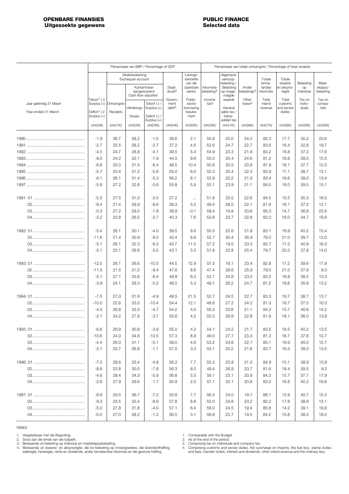<span id="page-4-0"></span>

|                        |                                            |                        |                                      | Persentasie van BBP / Percentage of GDP |                                      |                                             | Persentasie van totale ontvangste / Percentage of total receipts |                                                 |                             |                            |                                |                            |                          |
|------------------------|--------------------------------------------|------------------------|--------------------------------------|-----------------------------------------|--------------------------------------|---------------------------------------------|------------------------------------------------------------------|-------------------------------------------------|-----------------------------|----------------------------|--------------------------------|----------------------------|--------------------------|
|                        |                                            |                        | Skatkisrekening<br>Exchequer account | Kontantvloei-                           | Staat-                               | Lenings-<br>behoefte<br>van die<br>openbare | Inkomste-                                                        | Algemene<br>verkoop-<br>belasting/<br>Belasting | Ander                       | Totale<br>binne-<br>landse | Totale<br>doeane<br>en aksyns- | Belasting<br>op            | Maat-<br>skappy-         |
|                        |                                            |                        | Cash flow adjusted                   | aangesuiwerd                            | skuld <sup>2</sup>                   | sektor                                      | belasting <sup>3</sup>                                           | op toege-<br>voegde                             | belastings <sup>4</sup>     | inkomste                   | regte                          | individue                  | belasting                |
| Jaar geëindig 31 Maart | Tekort <sup>1</sup> (-)/                   | Surplus (+) Ontvangste | Uitreikings                          | Tekort (-) /<br>Surplus (+)             | Govern-<br>ment<br>debt <sup>2</sup> | Public-<br>sector<br>borrowing              | Income<br>tax <sup>3</sup>                                       | waarde<br>General                               | Other<br>taxes <sup>4</sup> | Total<br>inland<br>revenue | Total<br>customs<br>and excise | Tax on<br>indivi-<br>duals | Tax on<br>compa-<br>nies |
| Year ended 31 March    | Deficit <sup>1</sup> $(-)/$<br>Surplus (+) | Receipts               | Issues                               | Deficit (-) /<br>Surplus (+)            |                                      | require-<br>ment                            |                                                                  | sales tax/<br>Value-<br>added tax               |                             |                            | duties                         |                            |                          |
|                        | (4420K)                                    | (4421K)                | (4422K)                              | (4423K)                                 | (4424K)                              | (4432K)                                     | (4425K)                                                          | (4431K)                                         | (4426K)                     | (4427K)                    | (4428K)                        | (4429K)                    | (4430K)                  |
|                        | $-1.9$                                     | 26.7                   | 28.2                                 | $-1.5$                                  | 38.6                                 | 2.1                                         | 50.8                                                             | 25.0                                            | 24.2                        | 82.3                       | 17.7                           | 30.2                       | 20.6                     |
|                        | $-2.7$                                     | 25.5                   | 28.2                                 | $-2.7$                                  | 37.2                                 | 4.5                                         | 52.6                                                             | 24.7                                            | 22.7                        | 83.6                       | 16.4                           | 32.8                       | 19.7                     |
|                        | $-4.5$                                     | 24.7                   | 28.8                                 | $-4.1$                                  | 39.5                                 | 5.4                                         | 54.9                                                             | 23.3                                            | 21.8                        | 83.2                       | 16.8                           | 37.3                       | 17.6                     |
|                        | $-8.5$                                     | 24.2                   | 32.1                                 | $-7.9$                                  | 44.5                                 | 9.6                                         | 55.0                                                             | 20.4                                            | 24.6                        | 81.2                       | 18.8                           | 39.5                       | 15.5                     |
|                        | $-6.8$                                     | 25.0                   | 31.4                                 | $-6.4$                                  | 48.5                                 | 10.4                                        | 50.6                                                             | 25.5                                            | 23.9                        | 81.9                       | 18.1                           | 37.7                       | 12.5                     |
|                        | $-5.7$                                     | 25.6                   | 31.2                                 | $-5.6$                                  | 55.0                                 | 6.0                                         | 52.3                                                             | 25.4                                            | 22.3                        | 82.9                       | 17.1                           | 38.7                       | 13.1                     |
|                        | $-6.1$                                     | 26.1                   | 31.4                                 | $-5.3$                                  | 56.2                                 | 6.1                                         | 52.9                                                             | 25.2                                            | 21.9                        | 83.4                       | 16.6                           | 39.0                       | 13.4                     |
|                        | $-5.6$                                     | 27.2                   | 32.8                                 | $-5.6$                                  | 55.8                                 | 5.9                                         | 55.1                                                             | 23.9                                            | 21.1                        | 84.0                       | 16.0                           | 39.5                       | 15.1                     |
|                        | $-5.3$                                     | 27.5                   | 31.0                                 | $-3.5$                                  | 37.2                                 | $\cdots$                                    | 51.9                                                             | 25.5                                            | 22.6                        | 84.5                       | 15.5                           | 35.3                       | 16.5                     |
|                        | $-9.4$                                     | 21.4                   | 29.9                                 | $-8.6$                                  | 39.3                                 | 5.5                                         | 49.4                                                             | 28.5                                            | 22.1                        | 81.9                       | 18.1                           | 37.2                       | 12.1                     |
|                        | $-0.3$                                     | 27.2                   | 29.0                                 | $-1.8$                                  | 38.8                                 | $-0.1$                                      | 59.4                                                             | 19.9                                            | 20.8                        | 85.3                       | 14.7                           | 36.8                       | 22.6                     |
|                        | $-3.2$                                     | 23.8                   | 26.5                                 | $-2.7$                                  | 40.3                                 | 7.6                                         | 53.6                                                             | 23.7                                            | 22.8                        | 82.0                       | 18.0                           | 34.7                       | 18.8                     |
|                        | $-5.4$                                     | 26.1                   | 30.1                                 | $-4.0$                                  | 39.5                                 | 8.6                                         | 55.5                                                             | 22.6                                            | 21.8                        | 83.1                       | 16.9                           | 40.2                       | 15.4                     |
|                        | $-11.6$                                    | 21.4                   | 30.9                                 | $-9.5$                                  | 43.4                                 | 8.6                                         | 52.7                                                             | 20.4                                            | 26.9                        | 79.0                       | 21.0                           | 39.7                       | 13.0                     |
|                        | $-5.1$                                     | 26.1                   | 32.3                                 | $-6.2$                                  | 43.7                                 | 11.5                                        | 57.2                                                             | 19.5                                            | 23.3                        | 82.7                       | 17.3                           | 40.9                       | 16.3                     |
|                        | $-5.1$                                     | 23.1                   | 28.6                                 | $-5.5$                                  | 43.1                                 | 5.5                                         | 51.8                                                             | 22.8                                            | 25.4                        | 79.7                       | 20.3                           | 37.8                       | 14.0                     |
|                        | $-12.5$                                    | 26.1                   | 36.6                                 | $-10.5$                                 | 44.5                                 | 12.9                                        | 57.5                                                             | 19.1                                            | 23.4                        | 82.8                       | 17.2                           | 39.6                       | 17.9                     |
|                        | $-11.0$                                    | 21.5                   | 31.0                                 | $-9.4$                                  | 47.6                                 | 8.6                                         | 47.4                                                             | 26.6                                            | 25.9                        | 79.0                       | 21.0                           | 37.9                       | 9.0                      |
|                        | $-5.1$                                     | 27.1                   | 33.6                                 | $-6.4$                                  | 48.9                                 | 6.3                                         | 52.1                                                             | 24.8                                            | 23.0                        | 83.2                       | 16.8                           | 38.5                       | 13.3                     |
|                        | $-3.9$                                     | 24.1                   | 29.3                                 | $-5.2$                                  | 48.5                                 | 5.3                                         | 49.1                                                             | 26.2                                            | 24.7                        | 81.2                       | 18.8                           | 35.6                       | 13.2                     |
|                        | $-7.5$                                     | 27.0                   | 31.9                                 | $-4.9$                                  | 48.5                                 | 21.5                                        | 52.7                                                             | 24.5                                            | 22.7                        | 83.3                       | 16.7                           | 38.7                       | 13.7                     |
|                        | $-10.0$                                    | 22.6                   | 33.0                                 | $-10.4$                                 | 54.4                                 | 12.1                                        | 48.6                                                             | 27.2                                            | 24.2                        | 81.3                       | 18.7                           | 37.5                       | 10.3                     |
|                        | $-4.5$                                     | 28.8                   | 33.5                                 | $-4.7$                                  | 54.2                                 | 4.0                                         | 55.3                                                             | 23.6                                            | 21.1                        | 84.3                       | 15.7                           | 40.6                       | 14.2                     |
|                        | $-2.1$                                     | 24.2                   | 27.9                                 | $-3.7$                                  | 55.6                                 | 4.2                                         | 50.3                                                             | 26.9                                            | 22.8                        | 81.9                       | 18.1                           | 36.0                       | 13.8                     |
|                        | -6.6                                       | 26.9                   | 30.8                                 | $-3.9$                                  | 55.0                                 | 4.2                                         | 54.1                                                             | 24.2                                            | 21.7                        | 83.5                       | 16.5                           | 40.2                       | 13.5                     |
|                        | $-10.6$                                    | 24.0                   | 34.6                                 | $-10.5$                                 | 57.3                                 | 8.9                                         | 49.0                                                             | 27.7                                            | 23.3                        | 81.3                       | 18.7                           | 37.8                       | 10.7                     |
|                        | $-4.4$                                     | 26.0                   | 31.1                                 | $-5.1$                                  | 58.0                                 | 4.6                                         | 53.2                                                             | 24.8                                            | 22.1                        | 83.1                       | 16.9                           | 40.0                       | 12.7                     |
|                        | $-2.1$                                     | 25.7                   | 26.8                                 | $-1.1$                                  | 57.0                                 | 3.3                                         | 53.1                                                             | 25.2                                            | 21.6                        | 83.7                       | 16.3                           | 39.3                       | 13.5                     |
|                        | $-7.5$                                     | 28.6                   | 33.4                                 | $-4.8$                                  | 56.2                                 | 7.7                                         | 55.2                                                             | 23.8                                            | 21.0                        | 84.9                       | 15.1                           | 38.9                       | 15.9                     |
|                        | $-8.6$                                     | 22.8                   | 30.5                                 | $-7.8$                                  | 56.3                                 | 8.0                                         | 49.4                                                             | 26.9                                            | 23.7                        | 81.6                       | 18.4                           | 39.5                       | 9.3                      |
|                        | $-4.6$                                     | 28.4                   | 34.3                                 | $-5.9$                                  | 56.6                                 | 5.5                                         | 56.1                                                             | 23.1                                            | 20.8                        | 84.3                       | 15.7                           | 37.7                       | 17.9                     |
|                        | $-2.6$                                     | 27.9                   | 29.6                                 | $-1.7$                                  | 55.9                                 | 2.5                                         | 57.1                                                             | 22.1                                            | 20.8                        | 83.2                       | 16.8                           | 40.2                       | 16.6                     |
|                        | $-6.8$                                     | 29.5                   | 36.7                                 | $-7.2$                                  | 55.8                                 | 7.7                                         | 56.3                                                             | 24.0                                            | 19.7                        | 86.1                       | 13.9                           | 40.7                       | 15.3                     |
|                        | $-9.3$                                     | 23.5                   | 32.4                                 | $-8.9$                                  | 57.8                                 | 8.6                                         | 52.0                                                             | 24.8                                            | 23.2                        | 82.2                       | 17.8                           | 38.6                       | 13.1                     |
|                        | $-5.0$                                     | 27.8                   | 31.8                                 | $-4.0$                                  | 57.1                                 | 6.4                                         | 56.0                                                             | 24.5                                            | 19.4                        | 85.8                       | 14.2                           | 39.1                       | 16.6                     |
|                        | $-0.0$                                     | 27.0                   | 28.2                                 | $-1.2$                                  | 56.5                                 | 3.1                                         | 56.8                                                             | 23.7                                            | 19.5                        | 84.2                       | 15.8                           | 38.5                       | 18.0                     |

1. Vergelykbaar met die Begroting.<br>2. Soos aan die einde van die tydperk.<br>3. Bestaande uit belasting op individue en maatskappybelasting.<br>4. Bestaande uit doeane- en aksynsregte, die bo-belasting op invoergoedere, die bran

1. Comparable with the Budget.<br>2. As at the end of the period.<br>3. Comprising tax on individuals and company tax.<br>4. Comprising customs and excise duties, the surcharge on imports, the fuel levy, stamp duties<br>4. Comprising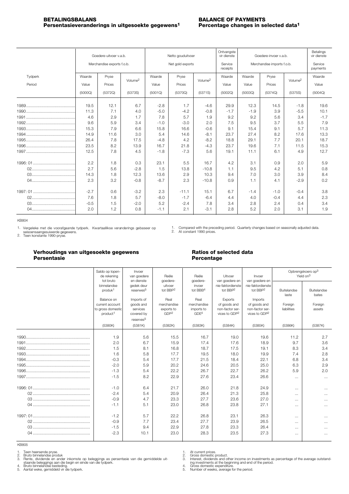<span id="page-5-0"></span>

|         |         | Goedere-uitvoer v.a.b.     |                     | Netto gouduitvoer |         |                     | Ontvangste<br>vir dienste |                            | Goedere-invoer v.a.b. |                     | Betalings<br>vir dienste |
|---------|---------|----------------------------|---------------------|-------------------|---------|---------------------|---------------------------|----------------------------|-----------------------|---------------------|--------------------------|
|         |         | Merchandise exports f.o.b. |                     | Net gold exports  |         |                     | Service<br>receipts       | Merchandise imports f.o.b. | Service<br>payments   |                     |                          |
| Tydperk | Waarde  | Pryse                      | Volume <sup>2</sup> | Waarde            | Pryse   | Volume <sup>2</sup> | Waarde                    | Waarde                     | Pryse                 | Volume <sup>2</sup> | Waarde                   |
| Period  | Value   | Prices                     |                     | Value             | Prices  |                     | Value                     | Value                      | Prices                |                     | Value                    |
|         | (5000Q) | (5372Q)                    | (5373S)             | (5001Q)           | (5370Q) | (5371S)             | (5002Q)                   | (5003Q)                    | (5374Q)               | (5375S)             | (5004Q)                  |
|         | 19.5    | 12.1                       | 6.7                 | $-2.8$            | 1.7     | $-4.6$              | 29.9                      | 12.3                       | 14.5                  | $-1.8$              | 19.6                     |
|         | 11.3    | 7.1                        | 4.0                 | $-5.0$            | $-4.2$  | $-0.8$              | $-1.7$                    | $-1.9$                     | 3.9                   | $-5.5$              | 10.1                     |
|         | 4.6     | 2.9                        | 1.7                 | 7.8               | 5.7     | 1.9                 | 9.2                       | 9.2                        | 5.6                   | 3.4                 | $-1.7$                   |
|         | 9.6     | 5.9                        | 3.4                 | $-1.0$            | $-3.0$  | 2.0                 | 7.5                       | 9.5                        | 3.7                   | 5.5                 | 7.9                      |
|         | 15.3    | 7.9                        | 6.6                 | 15.8              | 16.6    | $-0.6$              | 9.1                       | 15.4                       | 9.1                   | 5.7                 | 11.3                     |
|         | 14.9    | 11.6                       | 3.0                 | 5.4               | 14.6    | $-8.1$              | 23.7                      | 27.4                       | 8.2                   | 17.6                | 13.3                     |
|         | 26.4    | 7.8                        | 17.5                | $-4.8$            | 4.2     | $-8.2$              | 18.8                      | 29.1                       | 7.7                   | 20.1                | 18.7                     |
|         | 23.5    | 8.2                        | 13.9                | 16.7              | 21.8    | $-4.3$              | 23.7                      | 19.6                       | 7.1                   | 11.5                | 15.3                     |
|         | 12.5    | 7.8                        | 4.5                 | $-1.8$            | $-7.3$  | 5.6                 | 19.1                      | 11.1                       | 6.1                   | 4.9                 | 12.7                     |
|         | 2.2     | 1.8                        | 0.3                 | 23.1              | 5.5     | 16.7                | 4.2                       | 3.1                        | 0.9                   | 2.0                 | 5.9                      |
|         | 2.7     | 5.6                        | $-2.8$              | 1.5               | 13.8    | $-10.8$             | 1.1                       | 9.5                        | 4.2                   | 5.1                 | 0.8                      |
|         | 14.3    | 1.8                        | 12.3                | 13.6              | 2.9     | 10.3                | 9.4                       | 7.0                        | 3.0                   | 3.9                 | 8.4                      |
|         | 2.3     | 3.2                        | $-0.8$              | $-8.7$            | 2.3     | $-10.8$             | 0.9                       | 1.1                        | 4.1                   | $-2.9$              | 0.2                      |
|         | $-2.7$  | 0.6                        | $-3.2$              | 2.3               | $-11.1$ | 15.1                | 6.7                       | $-1.4$                     | $-1.0$                | $-0.4$              | 3.8                      |
|         | 7.6     | 1.8                        | 5.7                 | $-8.0$            | $-1.7$  | $-6.4$              | 4.4                       | 4.0                        | $-0.4$                | 4.4                 | 2.3                      |
|         | $-0.5$  | 1.5                        | $-2.0$              | 5.2               | $-2.4$  | 7.8                 | 3.4                       | 2.8                        | 2.4                   | 0.4                 | 3.4                      |
|         | 2.0     | 1.2                        | 0.8                 | $-1.1$            | 2.1     | $-3.1$              | 2.8                       | 5.2                        | 2.0                   | 3.1                 | 1.9                      |

1. Vergeleke met die voorafgaande tydperk. Kwartaallikse veranderings gebaseer op

seisoensaangesuiwerde gegewens. Teen konstante 1990-pryse. 2.

### **Verhoudings van uitgesoekte gegewens Ratios of selected data Persentasie Percentage**

1. Compared with the preceding period. Quarterly changes based on seasonally adjusted data.<br>2. At constant 1990 prices.

| Saldo op lopen-<br>de rekening<br>tot bruto                  | Invoer<br>van goedere<br>en dienste                          | Reële<br>goedere-                             | Reële<br>goedere-                             | Uitvoer<br>van goedere en                                    | Invoer<br>van goedere en                                     |                             | Opbrengskoers op <sup>3</sup><br>Yield $\alpha$ <sup>3</sup> |
|--------------------------------------------------------------|--------------------------------------------------------------|-----------------------------------------------|-----------------------------------------------|--------------------------------------------------------------|--------------------------------------------------------------|-----------------------------|--------------------------------------------------------------|
| binnelandse<br>produk <sup>1</sup><br>Balance on             | gedek deur<br>reserwes <sup>5</sup><br>Imports of            | uitvoer<br>tot BBP <sup>2</sup><br>Real       | invoer<br>tot BBB <sup>4</sup><br>Real        | nie-faktordienste<br>tot BBP <sup>2</sup><br>Exports         | nie-faktordienste<br>tot BBP <sup>2</sup><br>Imports         | <b>Buitelandse</b><br>laste | <b>Buitelandse</b><br>bates                                  |
| current account<br>to gross domestic<br>product <sup>1</sup> | goods and<br>services<br>covered by<br>reserves <sup>5</sup> | merchandise<br>exports to<br>GDP <sup>2</sup> | merchandise<br>imports to<br>GDE <sup>4</sup> | of goods and<br>non-factor ser-<br>vices to GDP <sup>2</sup> | of goods and<br>non-factor ser-<br>vices to GDP <sup>2</sup> | Foreign<br>liabilities      | Foreign<br>assets                                            |
| (5380K)                                                      | (5381K)                                                      | (5382K)                                       | (5383K)                                       | (5384K)                                                      | (5385K)                                                      | (5386K)                     | (5387K)                                                      |
| 1.9                                                          | 5.6                                                          | 15.5                                          | 16.7                                          | 19.0                                                         | 19.6                                                         | 11.2                        | 2.7                                                          |
| 2.0                                                          | 6.7                                                          | 15.9                                          | 17.4                                          | 17.6                                                         | 18.9                                                         | 9.7                         | 3.6                                                          |
| 1.5                                                          | 8.1                                                          | 16.8                                          | 18.7                                          | 17.5                                                         | 19.1                                                         | 8.3                         | 3.4                                                          |
| 1.6                                                          | 5.8                                                          | 17.7                                          | 19.5                                          | 18.0                                                         | 19.9                                                         | 7.4                         | 2.8                                                          |
| $-0.3$                                                       | 5.4                                                          | 17.7                                          | 21.5                                          | 18.4                                                         | 22.1                                                         | 6.8                         | 3.4                                                          |
| $-2.0$                                                       | 5.9                                                          | 20.2                                          | 24.6                                          | 20.5                                                         | 25.0                                                         | 6.3                         | 2.9                                                          |
| $-1.3$                                                       | 5.4                                                          | 22.2                                          | 26.7                                          | 22.7                                                         | 26.2                                                         | 5.9                         | 2.0                                                          |
| $-1.5$                                                       | 8.2                                                          | 22.9                                          | 27.6                                          | 23.4                                                         | 26.6                                                         | $\dots$                     | $\cdots$                                                     |
| $-1.0$                                                       | 6.4                                                          | 21.7                                          | 26.0                                          | 21.8                                                         | 24.9                                                         | $\cdots$                    | $\cdots$                                                     |
| $-2.4$                                                       | 5.4                                                          | 20.9                                          | 26.4                                          | 21.3                                                         | 25.8                                                         | $\cdots$                    | $\cdots$                                                     |
| $-0.9$                                                       | 4.7                                                          | 23.3                                          | 27.7                                          | 23.6                                                         | 27.0                                                         | $\dots$                     | $\cdots$                                                     |
| $-1.1$                                                       | 5.1                                                          | 23.0                                          | 26.8                                          | 23.8                                                         | 27.1                                                         | $\cdots$                    | $\ldots$                                                     |
| $-1.2$                                                       | 5.7                                                          | 22.2                                          | 26.8                                          | 23.1                                                         | 26.3                                                         | $\cdots$                    | $\cdots$                                                     |
| $-0.9$                                                       | 7.7                                                          | 23.4                                          | 27.7                                          | 23.9                                                         | 26.5                                                         | $\cdots$                    | $\cdots$                                                     |
| $-1.5$                                                       | 9.4                                                          | 22.9                                          | 27.8                                          | 23.3                                                         | 26.4                                                         | $\cdots$                    | $\cdots$                                                     |
| $-2.3$                                                       | 10.1                                                         | 23.0                                          | 28.3                                          | 23.5                                                         | 27.3                                                         | $\cdots$                    | $\cdots$                                                     |

KB805

1. 2. 3.

Teen heersende pryse.<br>Bruto binnelandse produk<br>Rente, dividende en ander inkomste op beleggings as persentasie van die gemiddelde uit-<br>staande beleggings aan die begin en einde van die tydperk.<br>Bruto binnelandse besteding.

4. 5.

1. 2. 3.

At current prices.<br>Gross domestic product.<br>Interest, dividends and other income on investments as percentage of the average outstand-<br>ing investments at the beginning and end of the period.<br>Gross domestic expenditure.<br>Numb

4. 5.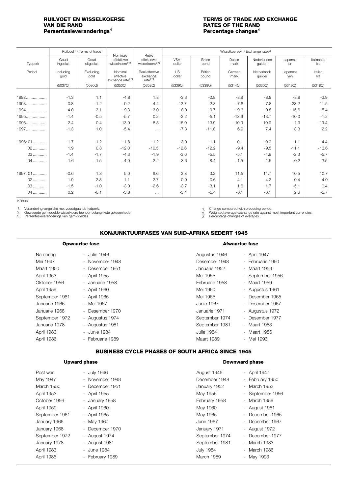# **Persentasieveranderings1 Percentage changes1**

### <span id="page-6-0"></span>**RUILVOET EN WISSELKOERSE FOR TERMS OF TRADE AND EXCHANGE VAN DIE RAND<br>
VAN DIE RAND FOR THE RAND FRATES OF THE RAND RATES OF THE RAND**<br>**Percentage changes<sup>1</sup>**

|          |                   | Ruilvoet <sup>1</sup> / Terms of trade <sup>1</sup> | Nominale                                             | Reële                                             |                |                         | Wisselkoerse <sup>3</sup> / Exchange rates <sup>3</sup> |                        |                 |                    |
|----------|-------------------|-----------------------------------------------------|------------------------------------------------------|---------------------------------------------------|----------------|-------------------------|---------------------------------------------------------|------------------------|-----------------|--------------------|
| Tydperk  | Goud<br>ingesluit | Goud<br>uitgesluit                                  | effektiewe<br>wisselkoers <sup>2,3</sup>             | effektiewe<br>wisselkoers <sup>2,3</sup>          | VSA-<br>dollar | <b>Britse</b><br>pond   | Duitse<br>mark                                          | Nederlandse<br>gulden  | Japanse<br>jen  | Italiaanse<br>lira |
| Period   | Including<br>gold | Excluding<br>gold                                   | Nominal<br>effective<br>exchange rate <sup>2,3</sup> | Real effective<br>exchange<br>rate <sup>2,3</sup> | US<br>dollar   | <b>British</b><br>pound | German<br>mark                                          | Netherlands<br>quilder | Japanese<br>yen | Italian<br>lira    |
|          | (5037Q)           | (5036Q)                                             | (5350Q)                                              | (5352Q)                                           | (5339Q)        | (5338Q)                 | (5314Q)                                                 | (5330Q)                | (5319Q)         | (5318Q)            |
| $1992$   | $-1.3$            | 1.1                                                 | $-4.8$                                               | 1.8                                               | $-3.3$         | $-2.8$                  | $-8.8$                                                  | $-8.8$                 | $-8.9$          | $-3.9$             |
| 1993     | 0.8               | $-1.2$                                              | $-9.2$                                               | $-4.4$                                            | $-12.7$        | 2.3                     | $-7.6$                                                  | $-7.8$                 | $-23.2$         | 11.5               |
| 1994     | 4.0               | 3.1                                                 | $-9.3$                                               | $-3.0$                                            | $-8.0$         | $-9.7$                  | $-9.6$                                                  | $-9.8$                 | $-15.6$         | $-5.4$             |
| 1995     | $-1.4$            | $-0.5$                                              | $-5.7$                                               | 0.2                                               | $-2.2$         | $-5.1$                  | $-13.6$                                                 | $-13.7$                | $-10.0$         | $-1.2$             |
| 1996     | 2.4               | 0.4                                                 | $-13.0$                                              | $-8.3$                                            | $-15.0$        | $-13.9$                 | $-10.9$                                                 | $-10.9$                | $-1.9$          | $-19.4$            |
| 1997     | $-1.3$            | 1.0                                                 | $-5.4$                                               | $\cdots$                                          | $-7.3$         | $-11.8$                 | 6.9                                                     | 7.4                    | 3.3             | 2.2                |
|          |                   |                                                     |                                                      |                                                   |                |                         |                                                         |                        |                 |                    |
| 1996: 01 | 1.7               | 1.2                                                 | $-1.8$                                               | $-1.2$                                            | $-3.0$         | $-1.1$                  | 0.1                                                     | 0.0                    | 1.1             | $-4.4$             |
| $02$     | 1.9               | 0.8                                                 | $-12.0$                                              | $-10.5$                                           | $-12.6$        | $-12.2$                 | $-9.4$                                                  | $-9.5$                 | $-11.1$         | $-13.6$            |
| $03$     | $-1.4$            | $-1.7$                                              | $-4.3$                                               | $-1.9$                                            | $-3.6$         | $-5.5$                  | $-5.1$                                                  | $-4.9$                 | $-2.3$          | $-5.7$             |
| 04       | $-1.6$            | $-1.5$                                              | $-4.0$                                               | $-2.2$                                            | $-3.6$         | $-8.4$                  | $-1.5$                                                  | $-1.5$                 | $-0.2$          | $-3.5$             |
|          |                   |                                                     |                                                      |                                                   |                |                         |                                                         |                        |                 |                    |
| 1997: 01 | $-0.6$            | 1.3                                                 | 5.0                                                  | 6.6                                               | 2.8            | 3.2                     | 11.5                                                    | 11.7                   | 10.5            | 10.7               |
| $02$     | 1.9               | 2.8                                                 | 1.1                                                  | 2.7                                               | 0.9            | 0.6                     | 4.1                                                     | 4.2                    | $-0.4$          | 4.0                |
| $03$     | $-1.5$            | $-1.0$                                              | $-3.0$                                               | $-2.6$                                            | $-3.7$         | $-3.1$                  | 1.6                                                     | 1.7                    | $-5.1$          | 0.4                |
| $04$     | 0.2               | $-0.1$                                              | $-3.8$                                               | $\cdots$                                          | $-3.4$         | $-5.4$                  | $-6.1$                                                  | $-6.1$                 | 2.6             | $-5.7$             |

KB806

Verandering vergeleke met voorafgaande tydperk. Geweegde gemiddelde wisselkoers teenoor belangrikste geldeenhede. Persentasieveranderings van gemiddeldes. 1. 2. 3.

Change compared with preceding period. Weighted average exchange rate against most important currencies. 1. 2.

Percentage changes of averages.  $\overline{3}$ .

### **KONJUNKTUURFASES VAN SUID-AFRIKA SEDERT 1945**

### **Opwaartse fase**

| Na oorlog      | - Julie 1946    |
|----------------|-----------------|
| Mei 1947       | - November 1948 |
| Maart 1950     | - Desember 1951 |
| April 1953     | - April 1955    |
| Oktober 1956   | - Januarie 1958 |
| April 1959     | - April 1960    |
| September 1961 | - April 1965    |
| Januarie 1966  | - Mei 1967      |
| Januarie 1968  | - Desember 1970 |
| September 1972 | - Augustus 1974 |
| Januarie 1978  | - Augustus 1981 |
| April 1983     | - Junie 1984    |

### April 1986 - Februarie 1989

### Augustus 1946 - April 1947

**Afwaartse fase**

| Desember 1948     | - Februarie 1950     |
|-------------------|----------------------|
| Januarie 1952     | Maart 1953           |
| Mei 1955          | - September 1956     |
| Februarie 1958    | <b>Maart 1959</b>    |
| Mei 1960          | - Augustus 1961      |
| Mei 1965          | Desember 1965        |
| <b>Junie 1967</b> | - Desember 1967      |
| Januarie 1971     | - Augustus 1972      |
| September 1974    | Desember 1977        |
| September 1981    | Maart 1983<br>$\sim$ |
| <b>Julie 1984</b> | Maart 1986           |
| Maart 1989        | Mei 1993             |

### **BUSINESS CYCLE PHASES OF SOUTH AFRICA SINCE 1945**

### **Upward phase**

### **Downward phase**

| Post war       | - July 1946     | August 1946      | - April 1947     |
|----------------|-----------------|------------------|------------------|
| May 1947       | - November 1948 | December 1948    | - February 1950  |
| March 1950     | - December 1951 | January 1952     | - March 1953     |
| April 1953     | - April 1955    | May 1955         | - September 1956 |
| October 1956   | - January 1958  | February 1958    | - March 1959     |
| April 1959     | - April 1960    | May 1960         | - August 1961    |
| September 1961 | - April 1965    | May 1965         | - December 1965  |
| January 1966   | - May 1967      | June 1967        | - December 1967  |
| January 1968   | - December 1970 | January 1971     | - August 1972    |
| September 1972 | - August 1974   | September 1974   | - December 1977  |
| January 1978   | - August 1981   | September 1981   | - March 1983     |
| April 1983     | - June 1984     | <b>July 1984</b> | - March 1986     |
| April 1986     | - February 1989 | March 1989       | - May 1993       |
|                |                 |                  |                  |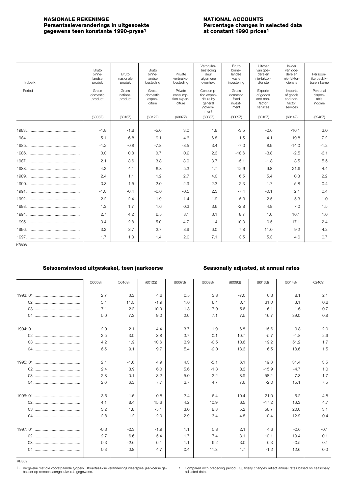### <span id="page-7-0"></span>**NASIONALE REKENINGE**<br> **NATIONAL ACCOUNTS**<br> **Persentasieveranderings in uitgesoekte**<br> **NATIONAL ACCOUNTS Persentasieveranderings in uitgesoekte Percentage changes in selection of the selection of the selection of the selection of the selection of the selection of the selection of the selection of the selection of the selec gegewens teen konstante 1990-pryse1 at constant 1990 prices1**

| Tydperk      | Bruto<br>binne-<br>landse<br>produk | Bruto<br>nasionale<br>produk | Bruto<br>binne-<br>landse<br>besteding | Private<br>verbruiks-<br>besteding           | Verbruiks-<br>besteding<br>deur<br>algemene<br>owerheid            | Bruto<br>binne-<br>landse<br>vaste<br>investering | Uitvoer<br>van goe-<br>dere en<br>nie-faktor-<br>dienste | Invoer<br>van goe-<br>dere en<br>nie-faktor-<br>dienste | Persoon-<br>like beskik-<br>bare inkome |
|--------------|-------------------------------------|------------------------------|----------------------------------------|----------------------------------------------|--------------------------------------------------------------------|---------------------------------------------------|----------------------------------------------------------|---------------------------------------------------------|-----------------------------------------|
| Period       | Gross<br>domestic<br>product        | Gross<br>national<br>product | Gross<br>domestic<br>expen-<br>diture  | Private<br>consump-<br>tion expen-<br>diture | Consump-<br>tion expen-<br>diture by<br>general<br>govern-<br>ment | Gross<br>domestic<br>fixed<br>invest-<br>ment     | Exports<br>of goods<br>and non-<br>factor<br>services    | Imports<br>of goods<br>and non-<br>factor<br>services   | Personal<br>dispos-<br>able<br>income   |
|              | (6006Z)                             | (6016Z)                      | (6012Z)                                | (6007Z)                                      | (6008Z)                                                            | (6009Z)                                           | (6013Z)                                                  | (6014Z)                                                 | (6246Z)                                 |
|              | $-1.8$                              | $-1.8$                       | $-5.6$                                 | 3.0                                          | 1.8                                                                | $-3.5$                                            | $-2.6$                                                   | $-16.1$                                                 | 3.0                                     |
|              | 5.1                                 | 6.8                          | 9.1                                    | 4.6                                          | 6.8                                                                | $-1.5$                                            | 4.1                                                      | 19.8                                                    | 7.2                                     |
|              | $-1.2$                              | $-0.8$                       | $-7.8$                                 | $-3.5$                                       | 3.4                                                                | $-7.0$                                            | 8.9                                                      | $-14.0$                                                 | $-1.2$                                  |
|              | 0.0                                 | 0.8                          | 0.7                                    | 0.2                                          | 2.3                                                                | $-18.6$                                           | $-3.8$                                                   | $-2.5$                                                  | $-3.1$                                  |
|              | 2.1                                 | 3.6                          | 3.8                                    | 3.9                                          | 3.7                                                                | $-5.1$                                            | $-1.8$                                                   | 3.5                                                     | 5.5                                     |
|              | 4.2                                 | 4.1                          | 6.3                                    | 5.3                                          | 1.7                                                                | 12.6                                              | 9.8                                                      | 21.9                                                    | 4.4                                     |
|              | 2.4                                 | 1.1                          | 1.2                                    | 2.7                                          | 4.0                                                                | 6.5                                               | 5.4                                                      | 0.3                                                     | 2.2                                     |
|              | $-0.3$                              | $-1.5$                       | $-2.0$                                 | 2.9                                          | 2.3                                                                | $-2.3$                                            | 1.7                                                      | $-5.8$                                                  | 0.4                                     |
|              | $-1.0$                              | $-0.4$                       | $-0.6$                                 | $-0.5$                                       | 2.3                                                                | $-7.4$                                            | $-0.1$                                                   | 2.1                                                     | 0.4                                     |
|              | $-2.2$                              | $-2.4$                       | $-1.9$                                 | $-1.4$                                       | 1.9                                                                | $-5.3$                                            | 2.5                                                      | 5.3                                                     | 1.0                                     |
|              | 1.3                                 | 1.7                          | 1.6                                    | 0.3                                          | 3.6                                                                | $-2.8$                                            | 4.8                                                      | 7.0                                                     | 1.5                                     |
|              | 2.7                                 | 4.2                          | 6.5                                    | 3.1                                          | 3.1                                                                | 8.7                                               | 1.0                                                      | 16.1                                                    | 1.6                                     |
|              | 3.4                                 | 2.8                          | 5.0                                    | 4.7                                          | $-1.4$                                                             | 10.3                                              | 10.5                                                     | 17.1                                                    | 2.4                                     |
|              | 3.2                                 | 3.7                          | 2.7                                    | 3.9                                          | 6.0                                                                | 7.8                                               | 11.0                                                     | 9.2                                                     | 4.2                                     |
|              | 1.7                                 | 1.3                          | 1.4                                    | 2.0                                          | 7.1                                                                | 3.5                                               | 5.3                                                      | 4.6                                                     | 0.7                                     |
| <b>KB808</b> |                                     |                              |                                        |                                              |                                                                    |                                                   |                                                          |                                                         |                                         |

### **Seisoensinvloed uitgeskakel, teen jaarkoerse Seasonally adjusted, at annual rates**

| (6006S) | (6016S) | (6012S) | (6007S) | (6008S) | (6009S) | (6013S) | (6014S) | (6246S) |
|---------|---------|---------|---------|---------|---------|---------|---------|---------|
|         |         |         |         |         |         |         |         |         |
| 2.7     | 3.3     | 4.6     | 0.5     | 3.8     | $-7.0$  | 0.3     | 8.1     | 2.1     |
| 5.1     | 11.0    | $-1.9$  | 1.6     | 8.4     | 0.7     | 31.0    | 3.1     | 0.8     |
| 7.1     | 2.2     | 10.0    | 1.3     | 7.9     | 5.6     | $-6.1$  | 1.6     | 0.7     |
| 5.0     | 7.3     | 9.0     | 2.0     | 7.1     | 7.5     | 16.7    | 39.0    | 0.8     |
|         |         |         |         |         |         |         |         |         |
| $-2.9$  | 2.1     | 4.4     | 3.7     | 1.9     | 6.8     | $-15.6$ | 9.8     | 2.0     |
| 2.5     | 3.0     | 3.8     | 3.7     | 0.1     | 10.7    | $-5.7$  | $-1.8$  | 2.9     |
| 4.2     | 1.9     | 10.6    | 3.9     | $-0.5$  | 13.6    | 19.2    | 51.2    | 1.7     |
| 6.5     | 9.1     | 9.7     | 5.4     | $-2.0$  | 18.3    | 6.5     | 18.6    | 1.5     |
| 2.1     | $-1.6$  | 4.9     | 4.3     | $-5.1$  | 6.1     | 19.8    | 31.4    | 3.5     |
| 2.4     | 3.9     | 6.0     | 5.6     | $-1.3$  | 8.3     | $-15.9$ | $-4.7$  | 1.0     |
| 2.8     |         |         |         |         | 8.9     |         | 7.3     | 1.7     |
|         | 0.1     | $-8.2$  | 5.0     | 2.2     |         | 58.2    |         |         |
| 2.6     | 6.3     | 7.7     | 3.7     | 4.7     | 7.6     | $-2.0$  | 15.1    | 7.5     |
| 3.6     | 1.6     | $-0.8$  | 3.4     | 6.4     | 10.4    | 21.0    | 5.2     | 4.8     |
| 4.1     | 8.4     | 15.6    | 4.2     | 10.9    | 6.5     | $-17.2$ | 16.3    | 4.7     |
| 3.2     | 1.8     | $-5.1$  | 3.0     | 8.8     | 5.2     | 56.7    | 20.0    | 3.1     |
| 2.8     | 1.2     | 2.0     | 2.9     | 3.4     | 4.8     | $-10.4$ | $-12.9$ | 0.4     |
|         |         |         |         |         |         |         |         |         |
| $-0.3$  | $-2.3$  | $-1.9$  | 1.1     | 5.8     | 2.1     | 4.6     | $-0.6$  | $-0.1$  |
| 2.7     | 6.6     | 5.4     | 1.7     | 7.4     | 3.1     | 10.1    | 19.4    | 0.1     |
| 0.3     | $-2.6$  | 0.1     | 1.1     | 9.2     | 3.0     | 0.3     | $-0.5$  | 0.1     |
| 0.3     | 0.8     | 4.7     | 0.4     | 11.3    | 1.7     | $-1.2$  | 12.6    | 0.0     |

KB809

Vergeleke met die voorafgaande tydperk. Kwartaallikse veranderings weerspieël jaarkoerse ge-baseer op seisoensaangesuiwerde gegewens. 1. 1.

Compared with preceding period. Quarterly changes reflect annual rates based on seasonally adjusted data.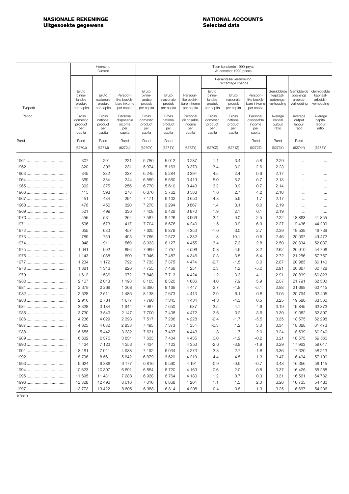### <span id="page-8-0"></span>**NASIONALE REKENINGE<br>
Uitgesoekte gegewens**<br>
Uitgesoekte gegewens<br>
2008 **Uitgesoekte gegewens**

|         |                                                   | Heersend<br>Current                           |                                                       | Teen konstante 1990-pryse<br>At constant 1990 prices |                                               |                                                       |                                                   |                                               |                                                       |                                                    |                                                  |                                                   |
|---------|---------------------------------------------------|-----------------------------------------------|-------------------------------------------------------|------------------------------------------------------|-----------------------------------------------|-------------------------------------------------------|---------------------------------------------------|-----------------------------------------------|-------------------------------------------------------|----------------------------------------------------|--------------------------------------------------|---------------------------------------------------|
|         |                                                   |                                               |                                                       |                                                      |                                               |                                                       |                                                   | Persentasie verandering<br>Percentage change  |                                                       |                                                    |                                                  |                                                   |
| Tydperk | Bruto<br>binne-<br>landse<br>produk<br>per capita | Bruto<br>nasionale<br>produk<br>per capita    | Persoon-<br>like beskik-<br>bare inkome<br>per capita | Bruto<br>binne-<br>landse<br>produk<br>per capita    | Bruto<br>nasionale<br>produk<br>per capita    | Persoon-<br>like beskik-<br>bare inkome<br>per capita | Bruto<br>binne-<br>landse<br>produk<br>per capita | Bruto<br>nasionale<br>produk<br>per capita    | Persoon-<br>like beskik-<br>bare inkome<br>per capita | Gemiddelde<br>kapitaal-<br>opbrengs-<br>verhouding | Gemiddelde<br>opbrengs<br>arbeids-<br>verhouding | Gemiddelde<br>kapitaal-<br>arbeids-<br>verhouding |
| Period  | Gross<br>domestic<br>product<br>per<br>capita     | Gross<br>national<br>product<br>per<br>capita | Personal<br>disposable<br>income<br>per<br>capita     | Gross<br>domestic<br>product<br>per<br>capita        | Gross<br>national<br>product<br>per<br>capita | Personal<br>disposable<br>income<br>per<br>capita     | Gross<br>domestic<br>product<br>per<br>capita     | Gross<br>national<br>product<br>per<br>capita | Personal<br>disposable<br>income<br>per<br>capita     | Average<br>capital<br>output<br>ratio              | Average<br>output<br>labour<br>ratio             | Average<br>capital<br>labour<br>ratio             |
| Rand    | Rand                                              | Rand                                          | Rand                                                  | Rand                                                 | Rand                                          |                                                       |                                                   |                                               | Rand                                                  | Rand                                               | Rand                                             |                                                   |
|         | (6270J)                                           | (6271J)                                       | (6272J)                                               | (6270Y)                                              | (6271Y)                                       | (6272Y)                                               | (6270Z)                                           | (6271Z)                                       | (6272Z)                                               | (6273Y)                                            | (6274Y)                                          | (6275Y)                                           |
|         |                                                   |                                               |                                                       |                                                      |                                               |                                                       |                                                   |                                               |                                                       |                                                    |                                                  |                                                   |
|         | 307                                               | 291                                           | 221                                                   | 5780                                                 | 5012                                          | 3 2 8 7                                               | 1.1                                               | $-3.4$                                        | 5.8                                                   | 2.29                                               | $\cdots$                                         | $\cdots$                                          |
|         | 320                                               | 306                                           | 231                                                   | 5974                                                 | 5 1 6 3                                       | 3 3 7 3                                               | 3.4                                               | 3.0                                           | 2.6                                                   | 2.23                                               | $\cdots$                                         | $\cdots$                                          |
|         | 345<br>369                                        | 332<br>354                                    | 237<br>244                                            | 6245<br>6559                                         | 5 2 8 4<br>5 5 6 0                            | 3 3 9 4<br>3419                                       | 4.5<br>5.0                                        | 2.4<br>5.2                                    | 0.6<br>0.7                                            | 2.17<br>2.13                                       | $\cdots$                                         | $\cdots$                                          |
|         | 392                                               | 375                                           | 256                                                   | 6770                                                 | 5610                                          | 3 4 4 3                                               | 3.2                                               | 0.9                                           | 0.7                                                   | 2.14                                               | $\cdots$                                         | $\cdots$                                          |
|         | 415                                               | 398                                           | 278                                                   | 6876                                                 | 5762                                          | 3588                                                  | 1.6                                               | 2.7                                           | 4.2                                                   | 2.18                                               | $\cdots$                                         | $\cdots$                                          |
|         | 451                                               | 434                                           | 294                                                   | 7 1 7 1                                              | 6 102                                         | 3650                                                  | 4.3                                               | 5.9                                           | 1.7                                                   | 2.17                                               |                                                  |                                                   |
|         | 476                                               | 456                                           | 320                                                   | 7 2 7 0                                              | 6 2 9 4                                       | 3867                                                  | 1.4                                               | 3.1                                           | 6.0                                                   | 2.19                                               | $\cdots$                                         | $\cdots$                                          |
|         | 521                                               | 499                                           | 336                                                   | 7 4 0 8                                              | 6426                                          | 3870                                                  | 1.9                                               | 2.1                                           | 0.1                                                   | 2.19                                               | $\cdots$<br>$\cdots$                             | $\cdots$<br>$\cdots$                              |
|         | 555                                               | 531                                           | 364                                                   | 7587                                                 | 6426                                          | 3966                                                  | 2.4                                               | 0.0                                           | 2.5                                                   | 2.22                                               | 18863                                            | 41 855                                            |
|         | 596                                               | 573                                           | 417                                                   | 7704                                                 | 6676                                          | 4 2 4 0                                               | 1.5                                               | 3.9                                           | 6.9                                                   | 2.27                                               | 19 436                                           | 44 209                                            |
|         | 655                                               | 630                                           | 457                                                   | 7 6 2 5                                              | 6879                                          | 4 3 5 3                                               | $-1.0$                                            | 3.0                                           | 2.7                                                   | 2.39                                               | 19 539                                           | 46 739                                            |
|         | 789                                               | 759                                           | 495                                                   | 7765                                                 | 7572                                          | 4 3 3 2                                               | 1.8                                               | 10.1                                          | $-0.5$                                                | 2.46                                               | 20 097                                           | 49 472                                            |
|         | 948                                               | 911                                           | 569                                                   | 8033                                                 | 8 1 2 7                                       | 4 4 5 5                                               | 3.4                                               | 7.3                                           | 2.8                                                   | 2.50                                               | 20 834                                           | 52 037                                            |
|         | 1 0 4 1                                           | 992                                           | 656                                                   | 7969                                                 | 7757                                          | 4596                                                  | $-0.8$                                            | $-4.6$                                        | 3.2                                                   | 2.62                                               | 20910                                            | 54 706                                            |
|         | 1 1 4 3                                           | 1 0 8 8                                       | 690                                                   | 7946                                                 | 7487                                          | 4 3 4 6                                               | -0.3                                              | $-3.5$                                        | $-5.4$                                                | 2.72                                               | 21 256                                           | 57 767                                            |
|         | 1 2 3 4                                           | 1 1 7 2                                       | 792                                                   | 7 7 3 3                                              | 7 3 7 5                                       | 4474                                                  | $-2.7$                                            | $-1.5$                                        | 3.0                                                   | 2.87                                               | 20 985                                           | 60 140                                            |
|         | 1 3 8 1                                           | 1 3 1 3                                       | 826                                                   | 7755                                                 | 7 4 6 6                                       | 4 2 5 1                                               | 0.3                                               | 1.2                                           | -5.0                                                  | 2.91                                               | 20 867                                           | 60728                                             |
|         | 1612                                              | 1536                                          | 972                                                   | 7848                                                 | 7713                                          | 4 4 2 4                                               | 1.2                                               | 3.3                                           | 4.1                                                   | 2.91                                               | 20899                                            | 60 823                                            |
|         | 2 107                                             | 2013                                          | 1 1 9 3                                               | 8 1 6 3                                              | 8 3 2 0                                       | 4686                                                  | 4.0                                               | 7.9                                           | 5.9                                                   | 2.87                                               | 21 791                                           | 62 500                                            |
|         | 2 3 7 9                                           | 2 2 6 8                                       | 1 308                                                 | 8 3 8 0                                              | 8 1 6 8                                       | 4 4 4 7                                               | 2.7                                               | $-1.8$                                        | $-5.1$                                                | 2.88                                               | 21 688                                           | 62 415                                            |
|         | 2628                                              | 2511                                          | 1 4 8 6                                               | 8 1 3 8                                              | 7673                                          | 4 4 1 3                                               | -2.9                                              | $-6.1$                                        | $-0.8$                                                | 3.05                                               | 20794                                            | 63 405                                            |
|         | 2910                                              | 2 7 8 4                                       | 1677                                                  | 7790                                                 | 7 3 4 5                                       | 4 4 3 4                                               | -4.3                                              | $-4.3$                                        | 0.5                                                   | 3.25                                               | 19580                                            | 63 560                                            |
|         | 3 3 2 8                                           | 3 1 8 4                                       | 1944                                                  | 7987                                                 | 7650                                          | 4637                                                  | 2.5                                               | 4.1                                           | 4.6                                                   | 3.19                                               | 19845                                            | 63 373                                            |
|         | 3730                                              | 3549                                          | 2 1 4 7                                               | 7700                                                 | 7408                                          | 4 4 7 2                                               | -3.6                                              | $-3.2$                                        | $-3.6$                                                | 3.30                                               | 19 052                                           | 62 897                                            |
|         | 4 2 3 6                                           | 4 0 2 9                                       | 2 3 9 8                                               | 7517                                                 | 7 2 8 6                                       | 4 2 2 8                                               | $-2.4$                                            | $-1.7$                                        | $-5.5$                                                | 3.35                                               | 18575                                            | 62 298                                            |
|         | 4 8 25                                            | 4 6 3 2                                       | 2 8 3 3                                               | 7 4 9 5                                              | 7 3 7 3                                       | 4 3 5 4                                               | $-0.3$                                            | 1.2                                           | 3.0                                                   | 3.34                                               | 18 3 88                                          | 61 473                                            |
|         | 5 6 5 5                                           | 5442                                          | 3 3 3 2                                               | 7631                                                 | 7 4 9 7                                       | 4 4 4 3                                               | 1.8                                               | 1.7                                           | 2.0                                                   | 3.24                                               | 18 599                                           | 60 240                                            |
|         | 6632                                              | 6376                                          | 3831                                                  | 7633                                                 | 7 4 0 4                                       | 4 4 3 5                                               | 0.0                                               | $-1.2$                                        | $-0.2$                                                | 3.21                                               | 18573                                            | 59 560                                            |
|         | 7 4 3 4                                           | 7 1 2 3                                       | 4 3 5 3                                               | 7434                                                 | 7 1 2 3                                       | 4 3 5 3                                               | $-2.6$                                            | $-3.8$                                        | $-1.9$                                                | 3.29                                               | 17963                                            | 59 017                                            |
|         | 8 1 6 1                                           | 7911                                          | 4938                                                  | 7 1 9 2                                              | 6934                                          | 4 273                                                 | $-3.3$                                            | $-2.7$                                        | $-1.8$                                                | 3.36                                               | 17 320                                           | 58 213                                            |
|         | 8796                                              | 8561                                          | 5 6 4 2                                               | 6879                                                 | 6620                                          | 4219                                                  | $-4.4$                                            | $-4.5$                                        | $-1.3$                                                | 3.47                                               | 16 494                                           | 57 199                                            |
|         | 9624                                              | 9 3 8 6                                       | 6 177                                                 | 6816                                                 | 6590                                          | 4 191                                                 | $-0.9$                                            | $-0.5$                                        | $-0.7$                                                | 3.43                                               | 16 356                                           | 56 115                                            |
|         | 10 623                                            | 10 397                                        | 6691                                                  | 6854                                                 | 6720                                          | 4 169                                                 | 0.6                                               | 2.0                                           | $-0.5$                                                | 3.37                                               | 16 4 26                                          | 55 288                                            |
|         | 11 695                                            | 11 431                                        | 7 2 8 8                                               | 6938                                                 | 6764                                          | 4 180                                                 | 1.2                                               | 0.7                                           | 0.3                                                   | 3.31                                               | 16561                                            | 54 782                                            |
|         | 12 8 28                                           | 12 4 9 6                                      | 8016                                                  | 7016                                                 | 6868                                          | 4 2 6 4                                               | 1.1                                               | 1.5                                           | 2.0                                                   | 3.26                                               | 16 735                                           | 54 480                                            |
|         | 13773                                             | 13 4 22                                       | 8 6 0 5                                               | 6988                                                 | 6814                                          | 4 208                                                 | $-0.4$                                            | $-0.8$                                        | $-1.3$                                                | 3.25                                               | 16 667                                           | 54 206                                            |

KB810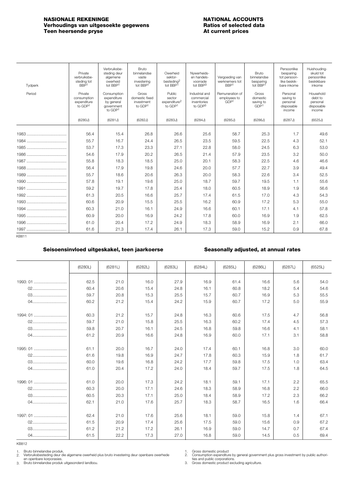### <span id="page-9-0"></span>**NASIONALE REKENINGE**<br> **NATIONAL ACCOUNTS**<br> **Natios of selected data**<br> **Natios of selected data Verhoudings van uitgesoekte gegewens Ratios of selected Reference in the Ratios of selected data**<br>**At current prices Teen heersende pryse**

| Tydperk | Private<br>verbruiksbe-<br>steding tot<br>BBP1   | Verbruiksbe-<br>steding deur<br>algemene<br>owerheid<br>tot BBP1  | Bruto<br>binnelandse<br>vaste<br>investering<br>tot BBP1 | Owerheid<br>sektor-<br>besteding <sup>2</sup><br>tot BBP1 | Nywerheids-<br>en handels-<br>voorrade<br>tot BBP3     | Vergoeding van<br>werknemers tot<br>BBP1 | Bruto<br>binnelandse<br>besparing<br>tot BBP1      | Persoonlike<br>besparing<br>tot persoon-<br>like beskik-<br>bare inkome | Huishouding-<br>skuld tot<br>persoonlike<br>beskikbare<br>inkome |
|---------|--------------------------------------------------|-------------------------------------------------------------------|----------------------------------------------------------|-----------------------------------------------------------|--------------------------------------------------------|------------------------------------------|----------------------------------------------------|-------------------------------------------------------------------------|------------------------------------------------------------------|
| Period  | Private<br>consumption<br>expenditure<br>to GDP1 | Consumption<br>expenditure<br>by general<br>government<br>to GDP1 | Gross<br>domestic fixed<br>investment<br>to GDP1         | Public<br>sector<br>expenditure <sup>2</sup><br>to GDP1   | Industrial and<br>commercial<br>inventories<br>to GDP3 | Remuneration of<br>employees to<br>GDP1  | Gross<br>domestic<br>saving to<br>GDP <sup>1</sup> | Personal<br>saving to<br>personal<br>disposable<br>income               | Household<br>debt to<br>personal<br>disposable<br>income         |
|         | (6280J)                                          | (6281J)                                                           | (6282J)                                                  | (6283J)                                                   | (6284J)                                                | (6285J)                                  | (6286J)                                            | (6287J)                                                                 | (6525J)                                                          |
|         | 56.4                                             | 15.4                                                              | 26.8                                                     | 26.6                                                      | 25.6                                                   | 58.7                                     | 25.3                                               | 1.7                                                                     | 49.6                                                             |
|         | 55.7                                             | 16.7                                                              | 24.4                                                     | 26.5                                                      | 23.5                                                   | 59.5                                     | 22.5                                               | 4.3                                                                     | 52.1                                                             |
|         | 53.7                                             | 17.3                                                              | 23.3                                                     | 27.1                                                      | 22.8                                                   | 58.0                                     | 24.5                                               | 6.3                                                                     | 53.0                                                             |
|         | 54.6                                             | 17.9                                                              | 20.2                                                     | 26.5                                                      | 21.4                                                   | 57.9                                     | 23.5                                               | 3.2                                                                     | 50.0                                                             |
|         | 55.8                                             | 18.3                                                              | 18.5                                                     | 25.0                                                      | 20.1                                                   | 58.3                                     | 22.5                                               | 4.6                                                                     | 46.6                                                             |
|         | 56.4                                             | 17.9                                                              | 19.8                                                     | 24.6                                                      | 20.0                                                   | 57.7                                     | 22.7                                               | 3.9                                                                     | 49.4                                                             |
|         | 55.7                                             | 18.6                                                              | 20.6                                                     | 26.3                                                      | 20.0                                                   | 58.3                                     | 22.6                                               | 3.4                                                                     | 52.5                                                             |
|         | 57.8                                             | 19.1                                                              | 19.6                                                     | 25.0                                                      | 18.7                                                   | 59.7                                     | 19.5                                               | 1.1                                                                     | 55.6                                                             |
|         | 59.2                                             | 19.7                                                              | 17.8                                                     | 25.4                                                      | 18.0                                                   | 60.5                                     | 18.9                                               | 1.9                                                                     | 56.6                                                             |
|         | 61.3                                             | 20.5                                                              | 16.6                                                     | 25.7                                                      | 17.4                                                   | 61.5                                     | 17.0                                               | 4.3                                                                     | 54.3                                                             |
|         | 60.6                                             | 20.9                                                              | 15.5                                                     | 25.5                                                      | 16.2                                                   | 60.9                                     | 17.2                                               | 5.3                                                                     | 55.0                                                             |
|         | 60.3                                             | 21.0                                                              | 16.1                                                     | 24.9                                                      | 16.6                                                   | 60.1                                     | 17.1                                               | 4.1                                                                     | 57.8                                                             |
|         | 60.9                                             | 20.0                                                              | 16.9                                                     | 24.2                                                      | 17.8                                                   | 60.0                                     | 16.9                                               | 1.9                                                                     | 62.5                                                             |
|         | 61.0                                             | 20.4                                                              | 17.2                                                     | 24.9                                                      | 18.3                                                   | 58.9                                     | 16.9                                               | 2.1                                                                     | 66.0                                                             |
|         | 61.6                                             | 21.3                                                              | 17.4                                                     | 26.1                                                      | 17.3                                                   | 59.0                                     | 15.2                                               | 0.9                                                                     | 67.8                                                             |
| KR811   |                                                  |                                                                   |                                                          |                                                           |                                                        |                                          |                                                    |                                                                         |                                                                  |

### **Seisoensinvloed uitgeskakel, teen jaarkoerse Seasonally adjusted, at annual rates**

|          | (6280L) | (6281L) | (6282L) | (6283L) | (6284L) | (6285L) | (6286L) | (6287L) | (6525L) |
|----------|---------|---------|---------|---------|---------|---------|---------|---------|---------|
|          |         |         |         |         |         |         |         |         |         |
| 1993: 01 | 62.5    | 21.0    | 16.0    | 27.9    | 16.9    | 61.4    | 16.6    | 5.6     | 54.0    |
| 02       | 60.4    | 20.6    | 15.4    | 24.8    | 16.1    | 60.8    | 18.2    | 5.4     | 54.6    |
| 03       | 59.7    | 20.8    | 15.3    | 25.5    | 15.7    | 60.7    | 16.9    | 5.3     | 55.5    |
| 04       | 60.2    | 21.2    | 15.4    | 24.2    | 15.9    | 60.7    | 17.2    | 5.0     | 55.9    |
|          |         |         |         |         |         |         |         |         |         |
| 1994: 01 | 60.3    | 21.2    | 15.7    | 24.8    | 16.3    | 60.6    | 17.5    | 4.7     | 56.8    |
| 02       | 59.7    | 21.0    | 15.8    | 25.5    | 16.3    | 60.2    | 17.4    | 4.5     | 57.3    |
| 03       | 59.8    | 20.7    | 16.1    | 24.5    | 16.8    | 59.8    | 16.6    | 4.1     | 58.1    |
| 04       | 61.2    | 20.9    | 16.6    | 24.8    | 16.9    | 60.0    | 17.1    | 3.1     | 58.8    |
|          |         |         |         |         |         |         |         |         |         |
| 1995: 01 | 61.1    | 20.0    | 16.7    | 24.0    | 17.4    | 60.1    | 16.8    | 3.0     | 60.0    |
| 02       | 61.6    | 19.8    | 16.9    | 24.7    | 17.8    | 60.3    | 15.9    | 1.8     | 61.7    |
| 03       | 60.0    | 19.6    | 16.8    | 24.2    | 17.7    | 59.8    | 17.5    | 1.0     | 63.4    |
| 04       | 61.0    | 20.4    | 17.2    | 24.0    | 18.4    | 59.7    | 17.5    | 1.8     | 64.5    |
|          |         |         |         |         |         |         |         |         |         |
| 1996: 01 | 61.0    | 20.0    | 17.3    | 24.2    | 18.1    | 59.1    | 17.1    | 2.2     | 65.5    |
| 02       | 60.3    | 20.0    | 17.1    | 24.6    | 18.3    | 58.9    | 16.8    | 2.2     | 66.0    |
| 03       | 60.5    | 20.3    | 17.1    | 25.0    | 18.4    | 58.9    | 17.2    | 2.3     | 66.2    |
| 04       | 62.1    | 21.0    | 17.6    | 25.7    | 18.3    | 58.7    | 16.5    | 1.6     | 66.4    |
|          |         |         |         |         |         |         |         |         |         |
| 1997: 01 | 62.4    | 21.0    | 17.6    | 25.6    | 18.1    | 59.0    | 15.8    | 1.4     | 67.1    |
| 02       | 61.5    | 20.9    | 17.4    | 25.6    | 17.5    | 59.0    | 15.6    | 0.9     | 67.2    |
| 03       | 61.2    | 21.2    | 17.2    | 26.1    | 16.9    | 59.0    | 14.7    | 0.7     | 67.4    |
| 04       | 61.5    | 22.2    | 17.3    | 27.0    | 16.8    | 59.0    | 14.5    | 0.5     | 69.4    |

KB812

Bruto binnelandse produk.

3.

Gross domestic product Consumption expenditure by general government plus gross investment by public authori-ties and public corporations. Gross domestic product excluding agriculture. 1. 2.

3.

Verbruiksbesteding deur die algemene owerheid plus bruto investering deur openbare owerhede en openbare korporasies. Bruto binnelandse produk uitgesonderd landbou.  $\frac{1}{2}$ . 2.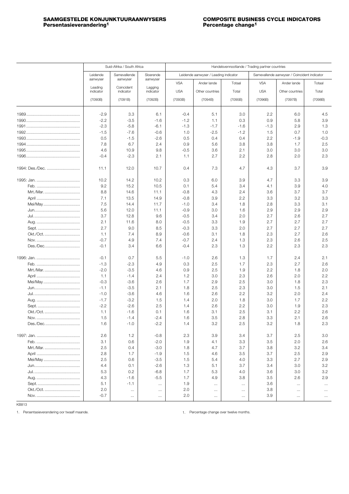## <span id="page-10-0"></span>**Persentasieverandering<sup>1</sup>**

|                 |                      | Suid-Afrika / South Africa |                       | Handelsvennootlande / Trading partner countries |                                       |                 |                          |                                              |                 |  |  |
|-----------------|----------------------|----------------------------|-----------------------|-------------------------------------------------|---------------------------------------|-----------------|--------------------------|----------------------------------------------|-----------------|--|--|
|                 |                      |                            |                       |                                                 |                                       |                 |                          |                                              |                 |  |  |
|                 | Leidende<br>aanwyser | Samevallende<br>aanwyser   | Sloerende<br>aanwyser |                                                 | Leidende aanwyser / Leading indicator |                 |                          | Samevallende aanwyser / Coincident indicator |                 |  |  |
|                 | Leading<br>indicator | Coincident<br>indicator    | Lagging<br>indicator  | <b>VSA</b><br><b>USA</b>                        | Ander lande<br>Other countries        | Totaal<br>Total | <b>VSA</b><br><b>USA</b> | Ander lande<br>Other countries               | Totaal<br>Total |  |  |
|                 | (7090B)              | (7091B)                    | (7092B)               | (7093B)                                         | (7094B)                               | (7095B)         | (7096B)                  | (7097B)                                      | (7098B)         |  |  |
|                 |                      |                            |                       |                                                 |                                       |                 |                          |                                              |                 |  |  |
|                 | $-2.9$               | 3.3                        | 6.1                   | $-0.4$                                          | 5.1                                   | 3.0             | 2.2                      | 6.0                                          | 4.5             |  |  |
|                 | $-2.2$               | $-3.5$                     | $-1.6$                | $-1.2$                                          | 1.1                                   | 0.3             | 0.9                      | 5.8                                          | 3.9             |  |  |
|                 | $-2.3$               | $-5.8$                     | $-6.1$                | $-1.3$                                          | $-1.7$                                | $-1.6$          | $-1.3$                   | 2.9                                          | 1.3             |  |  |
|                 | $-1.5$               | $-7.6$                     | $-0.6$                | 1.0                                             | $-2.5$                                | $-1.2$          | 1.5                      | 0.7                                          | 1.0             |  |  |
|                 | 0.5                  | $-1.5$                     | $-2.6$                | 0.5                                             | 0.4                                   | 0.4             | 2.2                      | $-1.9$                                       | $-0.3$          |  |  |
|                 | 7.8                  | 6.7                        | 2.4                   | 0.9                                             | 5.6                                   | 3.8             | 3.8                      | 1.7                                          | 2.5             |  |  |
|                 | 4.6                  | 10.9                       | 9.8                   | $-0.5$                                          | 3.6                                   | 2.1             | 3.0                      | 3.0                                          | 3.0             |  |  |
|                 | $-0.4$               | $-2.3$                     | 2.1                   | 1.1                                             | 2.7                                   | 2.2             | 2.8                      | 2.0                                          | 2.3             |  |  |
| 1994: Des./Dec. | 11.1                 | 12.0                       | 10.7                  | 0.4                                             | 7.3                                   | 4.7             | 4.3                      | 3.7                                          | 3.9             |  |  |
|                 |                      |                            |                       |                                                 |                                       |                 |                          |                                              |                 |  |  |
|                 | 10.2                 | 14.2                       | 10.2                  | 0.3                                             | 6.0                                   | 3.9             | 4.7                      | 3.3                                          | 3.9             |  |  |
|                 | 9.2                  | 15.2                       | 10.5                  | 0.1                                             | 5.4                                   | 3.4             | 4.1                      | 3.9                                          | 4.0             |  |  |
| Mrt./Mar        | 8.8                  | 14.6                       | 11.1                  | $-0.8$                                          | 4.3                                   | 2.4             | 3.6                      | 3.7                                          | 3.7             |  |  |
|                 | 7.1                  | 13.5                       | 14.9                  | $-0.8$                                          | 3.9                                   | 2.2             | 3.3                      | 3.2                                          | 3.3             |  |  |
| Mei/May         | 7.5                  | 14.4                       | 11.7                  | $-1.0$                                          | 3.4                                   | 1.8             | 2.8                      | 3.3                                          | 3.1             |  |  |
|                 | 5.6                  | 12.0                       | 11.1                  | $-0.9$                                          | 3.0                                   | 1.6             | 2.9                      | 2.9                                          | 2.9             |  |  |
|                 | 3.7                  | 12.8                       | 9.6                   | $-0.5$                                          | 3.4                                   | 2.0             | 2.7                      | 2.6                                          | 2.7             |  |  |
|                 | 2.1                  | 11.6                       | 8.0                   | $-0.5$                                          | 3.3                                   | 1.9             | 2.7                      | 2.7                                          | 2.7             |  |  |
|                 | 2.7                  | 9.0                        | 8.5                   | $-0.3$                                          | 3.3                                   | 2.0             | 2.7                      | 2.7                                          | 2.7             |  |  |
| Okt./Oct        | 1.1                  | 7.4                        | 8.9                   | $-0.6$                                          | 3.1                                   | 1.8             | 2.3                      | 2.7                                          | 2.6             |  |  |
|                 | $-0.7$               | 4.9                        | 7.4                   | $-0.7$                                          | 2.4                                   | 1.3             | 2.3                      | 2.6                                          | 2.5             |  |  |
| Des./Dec        | $-0.1$               | 3.4                        | 6.6                   | $-0.4$                                          | 2.3                                   | 1.3             | 2.2                      | 2.3                                          | 2.3             |  |  |
|                 | $-0.1$               | 0.7                        | 5.5                   | $-1.0$                                          | 2.6                                   | 1.3             | 1.7                      | 2.4                                          | 2.1             |  |  |
|                 | $-1.3$               | $-2.3$                     | 4.9                   | 0.3                                             | 2.5                                   | 1.7             | 2.3                      | 2.7                                          | 2.6             |  |  |
| Mrt./Mar        | $-2.0$               | $-3.5$                     | 4.6                   | 0.9                                             | 2.5                                   | 1.9             | 2.2                      | 1.8                                          | 2.0             |  |  |
|                 | 1.1                  | $-1.4$                     | 2.4                   | 1.2                                             | 3.0                                   | 2.3             | 2.6                      | 2.0                                          | 2.2             |  |  |
| Mei/May         | $-0.3$               | $-3.6$                     | 2.6                   | 1.7                                             | 2.9                                   | 2.5             | 3.0                      | 1.8                                          | 2.3             |  |  |
|                 | $-1.1$               | $-3.5$                     | 2.1                   | 1.8                                             | 2.5                                   | 2.3             | 3.0                      | 1.5                                          | 2.1             |  |  |
|                 | $-1.0$               | $-3.6$                     | 4.6                   | 1.6                                             | 2.6                                   | 2.2             | 3.2                      | 2.0                                          | 2.4             |  |  |
|                 | $-1.7$               | $-3.2$                     | 1.5                   | 1.4                                             | 2.0                                   | 1.8             | 3.0                      | 1.7                                          | 2.2             |  |  |
|                 | $-2.2$               | $-2.6$                     | 2.5                   | 1.4                                             | 2.6                                   | 2.2             | 3.0                      | 1.9                                          | 2.3             |  |  |
|                 | 1.1                  | $-1.6$                     | 0.1                   | 1.6                                             | 3.1                                   | 2.5             | 3.1                      | 2.2                                          | 2.6             |  |  |
|                 | 1.5                  | $-1.4$                     | $-2.4$                | 1.6                                             | 3.5                                   | 2.8             | 3.3                      | 2.1                                          | 2.6             |  |  |
| Des./Dec        | 1.6                  | $-1.0$                     | $-2.2$                | 1.4                                             | $3.2\,$                               | 2.5             | $3.2\,$                  | 1.8                                          | $2.3\,$         |  |  |
|                 | 2.6                  | 1.2                        | $-0.8$                | 2.3                                             | 3.9                                   | 3.4             | 3.7                      | 2.5                                          | 3.0             |  |  |
|                 | 3.1                  | 0.6                        | $-2.0$                | 1.9                                             | 4.1                                   | 3.3             | 3.5                      | 2.0                                          | 2.6             |  |  |
| Mrt./Mar        | 2.5                  | 0.4                        | $-3.0$                | 1.8                                             | 4.7                                   | 3.7             | 3.8                      | 3.2                                          | 3.4             |  |  |
|                 | 2.8                  | 1.7                        | $-1.9$                | 1.5                                             | 4.6                                   | 3.5             | 3.7                      | 2.5                                          | 2.9             |  |  |
| Mei/May         | 2.5                  | 0.6                        | $-3.5$                | 1.5                                             | 5.4                                   | 4.0             | 3.3                      | 2.7                                          | 2.9             |  |  |
|                 | 4.4                  | 0.1                        | $-2.6$                | 1.3                                             | 5.1                                   | 3.7             | 3.4                      | 3.0                                          | 3.2             |  |  |
|                 | 5.3                  | 0.2                        | $-6.8$                | 1.7                                             | 5.3                                   | 4.0             | 3.6                      | 3.0                                          | 3.2             |  |  |
|                 | 4.3                  | $-1.6$                     | $-5.5$                | 1.7                                             | 4.9                                   | 3.8             | 3.5                      | 2.6                                          | 2.9             |  |  |
|                 | 5.1                  | $-1.1$                     | $\cdots$              | 1.9                                             | $\ldots$                              | $\ldots$        | 3.6                      | $\cdots$                                     | $\ldots$        |  |  |
| Okt./Oct.       | 2.0                  | $\ldots$                   | $\ldots$              | 2.0                                             | $\ldots$                              | $\cdots$        | 3.8                      | $\cdots$                                     | $\cdots$        |  |  |
|                 | $-0.7$               | $\ldots$                   | $\ldots$              | 2.0                                             | $\ldots$                              | $\ldots$        | 3.9                      | $\ldots$                                     | $\ldots$ .      |  |  |

KB813

1. Persentasieverandering oor twaalf maande. 1. Percentage change over twelve months.